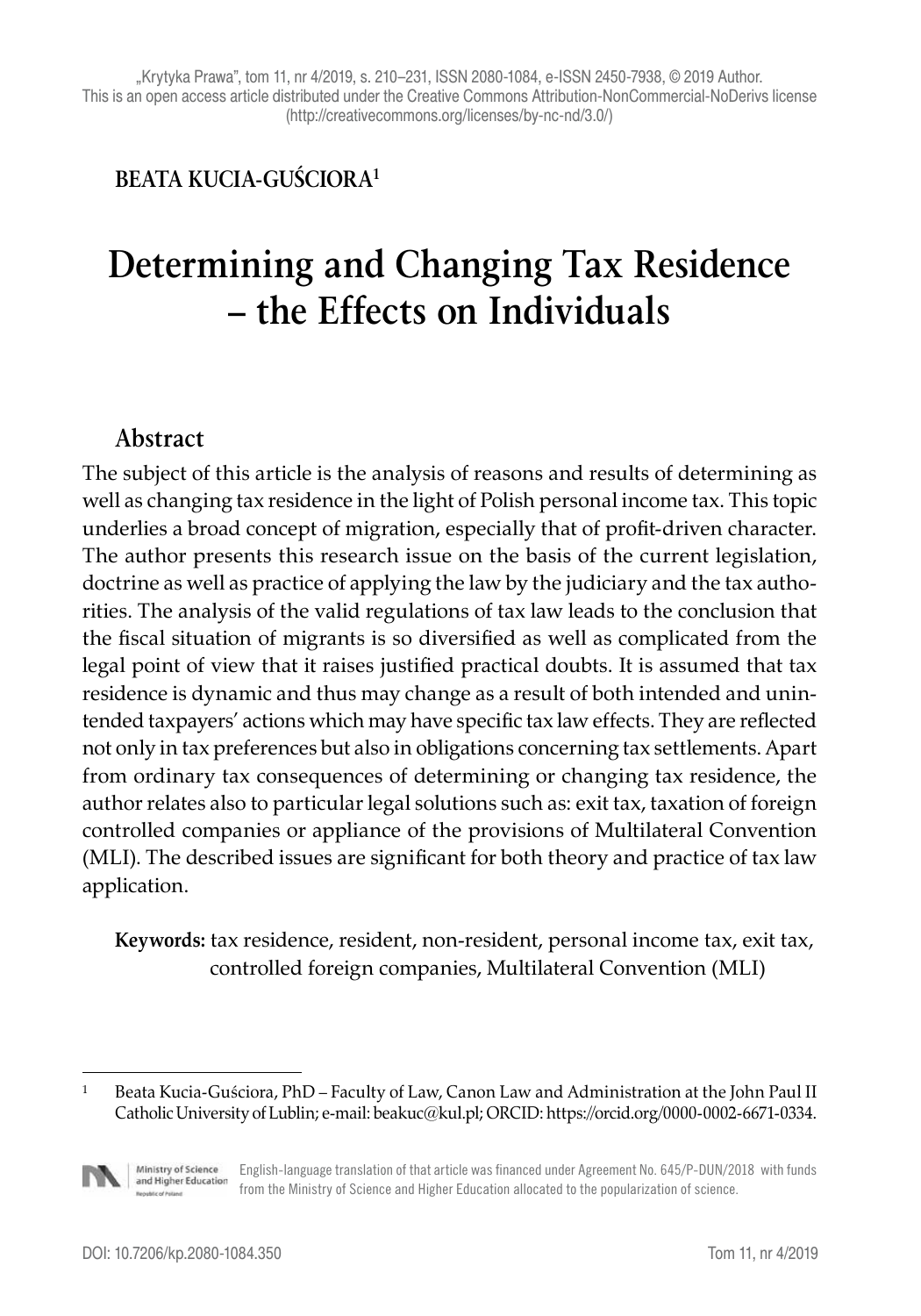#### **BEATA KUCIA-GUŚCIORA1**

# **Determining and Changing Tax Residence – the Effects on Individuals**

#### **Abstract**

The subject of this article is the analysis of reasons and results of determining as well as changing tax residence in the light of Polish personal income tax. This topic underlies a broad concept of migration, especially that of profit-driven character. The author presents this research issue on the basis of the current legislation, doctrine as well as practice of applying the law by the judiciary and the tax authorities. The analysis of the valid regulations of tax law leads to the conclusion that the fiscal situation of migrants is so diversified as well as complicated from the legal point of view that it raises justified practical doubts. It is assumed that tax residence is dynamic and thus may change as a result of both intended and unintended taxpayers' actions which may have specific tax law effects. They are reflected not only in tax preferences but also in obligations concerning tax settlements. Apart from ordinary tax consequences of determining or changing tax residence, the author relates also to particular legal solutions such as: exit tax, taxation of foreign controlled companies or appliance of the provisions of Multilateral Convention (MLI). The described issues are significant for both theory and practice of tax law application.

**Keywords:** tax residence, resident, non-resident, personal income tax, exit tax, controlled foreign companies, Multilateral Convention (MLI)

<sup>1</sup> Beata Kucia-Guściora, PhD – Faculty of Law, Canon Law and Administration at the John Paul II Catholic University of Lublin; e-mail: beakuc@kul.pl; ORCID: https://orcid.org/0000-0002-6671-0334.



Ministry of Science<br>and Higher Education English-language translation of that article was financed under Agreement No. 645/P-DUN/2018 with funds from the Ministry of Science and Higher Education allocated to the popularization of science.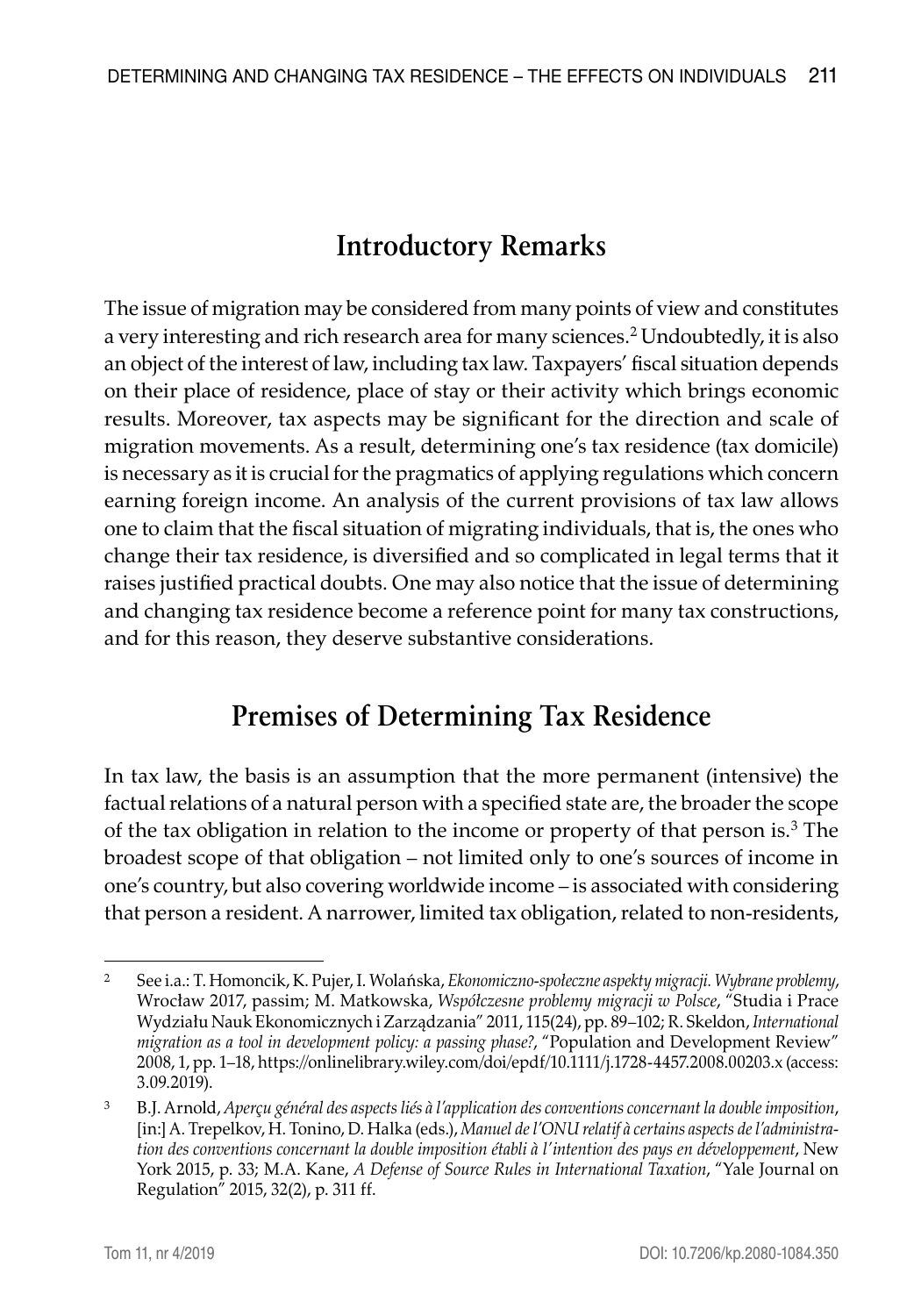# **Introductory Remarks**

The issue of migration may be considered from many points of view and constitutes a very interesting and rich research area for many sciences.2 Undoubtedly, it is also an object of the interest of law, including tax law. Taxpayers' fiscal situation depends on their place of residence, place of stay or their activity which brings economic results. Moreover, tax aspects may be significant for the direction and scale of migration movements. As a result, determining one's tax residence (tax domicile) is necessary as it is crucial for the pragmatics of applying regulations which concern earning foreign income. An analysis of the current provisions of tax law allows one to claim that the fiscal situation of migrating individuals, that is, the ones who change their tax residence, is diversified and so complicated in legal terms that it raises justified practical doubts. One may also notice that the issue of determining and changing tax residence become a reference point for many tax constructions, and for this reason, they deserve substantive considerations.

### **Premises of Determining Tax Residence**

In tax law, the basis is an assumption that the more permanent (intensive) the factual relations of a natural person with a specified state are, the broader the scope of the tax obligation in relation to the income or property of that person is.<sup>3</sup> The broadest scope of that obligation – not limited only to one's sources of income in one's country, but also covering worldwide income – is associated with considering that person a resident. A narrower, limited tax obligation, related to non-residents,

<sup>2</sup> See i.a.: T. Homoncik, K. Pujer, I. Wolańska, *Ekonomiczno-społeczne aspekty migracji. Wybrane problemy*, Wrocław 2017, passim; M. Matkowska, *Współczesne problemy migracji w Polsce*, "Studia i Prace Wydziału Nauk Ekonomicznych i Zarządzania" 2011, 115(24), pp. 89–102; R. Skeldon, *International migration as a tool in development policy: a passing phase?*, "Population and Development Review" 2008, 1, pp. 1–18, https://onlinelibrary.wiley.com/doi/epdf/10.1111/j.1728-4457.2008.00203.x (access: 3.09.2019).

<sup>3</sup> B.J. Arnold, *Aperçu général des aspects liés à l'application des conventions concernant la double imposition*, [in:] A. Trepelkov, H. Tonino, D. Halka (eds.), *Manuel de l'ONU relatif à certains aspects de l'administration des conventions concernant la double imposition établi à l'intention des pays en développement*, New York 2015, p. 33; M.A. Kane, *A Defense of Source Rules in International Taxation*, "Yale Journal on Regulation" 2015, 32(2), p. 311 ff.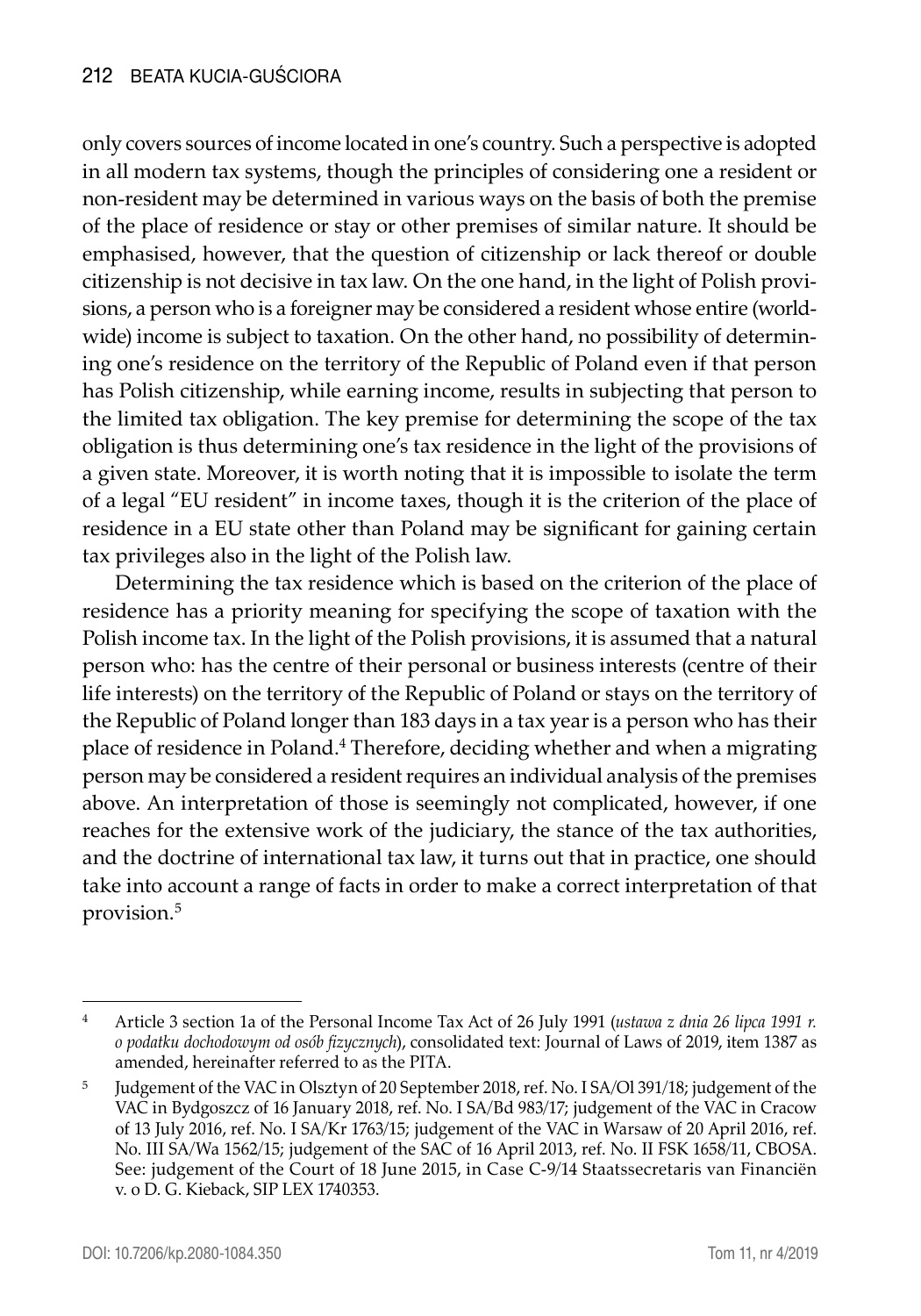only covers sources of income located in one's country. Such a perspective is adopted in all modern tax systems, though the principles of considering one a resident or non-resident may be determined in various ways on the basis of both the premise of the place of residence or stay or other premises of similar nature. It should be emphasised, however, that the question of citizenship or lack thereof or double citizenship is not decisive in tax law. On the one hand, in the light of Polish provisions, a person who is a foreigner may be considered a resident whose entire (worldwide) income is subject to taxation. On the other hand, no possibility of determining one's residence on the territory of the Republic of Poland even if that person has Polish citizenship, while earning income, results in subjecting that person to the limited tax obligation. The key premise for determining the scope of the tax obligation is thus determining one's tax residence in the light of the provisions of a given state. Moreover, it is worth noting that it is impossible to isolate the term of a legal "EU resident" in income taxes, though it is the criterion of the place of residence in a EU state other than Poland may be significant for gaining certain tax privileges also in the light of the Polish law.

Determining the tax residence which is based on the criterion of the place of residence has a priority meaning for specifying the scope of taxation with the Polish income tax. In the light of the Polish provisions, it is assumed that a natural person who: has the centre of their personal or business interests (centre of their life interests) on the territory of the Republic of Poland or stays on the territory of the Republic of Poland longer than 183 days in a tax year is a person who has their place of residence in Poland.<sup>4</sup> Therefore, deciding whether and when a migrating person may be considered a resident requires an individual analysis of the premises above. An interpretation of those is seemingly not complicated, however, if one reaches for the extensive work of the judiciary, the stance of the tax authorities, and the doctrine of international tax law, it turns out that in practice, one should take into account a range of facts in order to make a correct interpretation of that provision.5

<sup>4</sup> Article 3 section 1a of the Personal Income Tax Act of 26 July 1991 (*ustawa z dnia 26 lipca 1991 r. o podatku dochodowym od osób fizycznych*), consolidated text: Journal of Laws of 2019, item 1387 as amended, hereinafter referred to as the PITA.

<sup>5</sup> Judgement of the VAC in Olsztyn of 20 September 2018, ref. No. I SA/Ol 391/18; judgement of the VAC in Bydgoszcz of 16 January 2018, ref. No. I SA/Bd 983/17; judgement of the VAC in Cracow of 13 July 2016, ref. No. I SA/Kr 1763/15; judgement of the VAC in Warsaw of 20 April 2016, ref. No. III SA/Wa 1562/15; judgement of the SAC of 16 April 2013, ref. No. II FSK 1658/11, CBOSA. See: judgement of the Court of 18 June 2015, in Case C-9/14 Staatssecretaris van Financiën v. o D. G. Kieback, SIP LEX 1740353.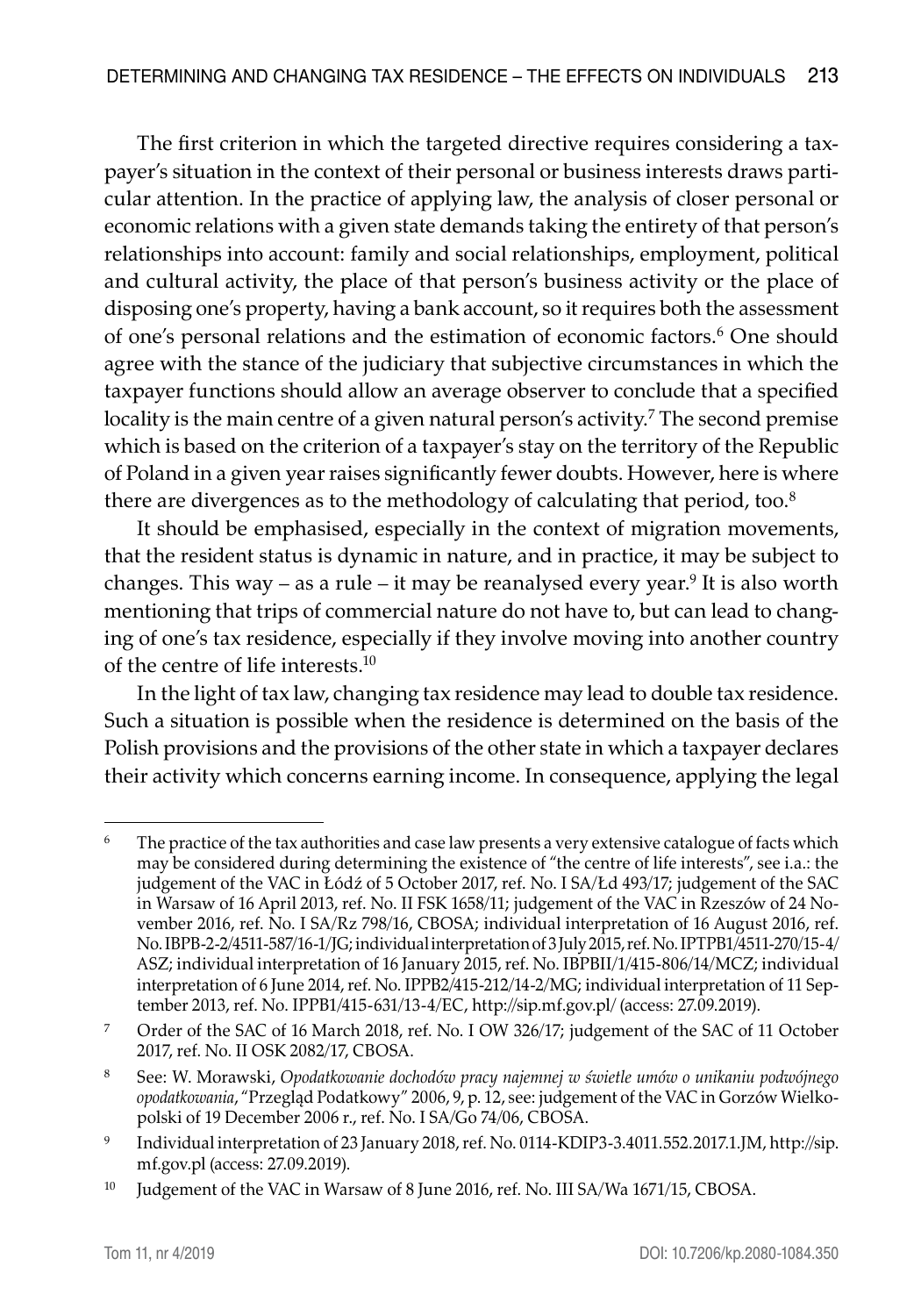The first criterion in which the targeted directive requires considering a taxpayer's situation in the context of their personal or business interests draws particular attention. In the practice of applying law, the analysis of closer personal or economic relations with a given state demands taking the entirety of that person's relationships into account: family and social relationships, employment, political and cultural activity, the place of that person's business activity or the place of disposing one's property, having a bank account, so it requires both the assessment of one's personal relations and the estimation of economic factors.<sup>6</sup> One should agree with the stance of the judiciary that subjective circumstances in which the taxpayer functions should allow an average observer to conclude that a specified locality is the main centre of a given natural person's activity.7 The second premise which is based on the criterion of a taxpayer's stay on the territory of the Republic of Poland in a given year raises significantly fewer doubts. However, here is where there are divergences as to the methodology of calculating that period, too.<sup>8</sup>

It should be emphasised, especially in the context of migration movements, that the resident status is dynamic in nature, and in practice, it may be subject to changes. This way – as a rule – it may be reanalysed every year.<sup>9</sup> It is also worth mentioning that trips of commercial nature do not have to, but can lead to changing of one's tax residence, especially if they involve moving into another country of the centre of life interests.<sup>10</sup>

In the light of tax law, changing tax residence may lead to double tax residence. Such a situation is possible when the residence is determined on the basis of the Polish provisions and the provisions of the other state in which a taxpayer declares their activity which concerns earning income. In consequence, applying the legal

<sup>&</sup>lt;sup>6</sup> The practice of the tax authorities and case law presents a very extensive catalogue of facts which may be considered during determining the existence of "the centre of life interests", see i.a.: the judgement of the VAC in Łódź of 5 October 2017, ref. No. I SA/Łd 493/17; judgement of the SAC in Warsaw of 16 April 2013, ref. No. II FSK 1658/11; judgement of the VAC in Rzeszów of 24 November 2016, ref. No. I SA/Rz 798/16, CBOSA; individual interpretation of 16 August 2016, ref. No. IBPB-2-2/4511-587/16-1/JG; individual interpretation of 3 July 2015, ref. No. IPTPB1/4511-270/15-4/ ASZ; individual interpretation of 16 January 2015, ref. No. IBPBII/1/415-806/14/MCZ; individual interpretation of 6 June 2014, ref. No. IPPB2/415-212/14-2/MG; individual interpretation of 11 September 2013, ref. No. IPPB1/415-631/13-4/EC, http://sip.mf.gov.pl/ (access: 27.09.2019).

<sup>7</sup> Order of the SAC of 16 March 2018, ref. No. I OW 326/17; judgement of the SAC of 11 October 2017, ref. No. II OSK 2082/17, CBOSA.

<sup>8</sup> See: W. Morawski, *Opodatkowanie dochodów pracy najemnej w świetle umów o unikaniu podwójnego opodatkowania*, "Przegląd Podatkowy" 2006, 9, p. 12, see: judgement of the VAC in Gorzów Wielkopolski of 19 December 2006 r., ref. No. I SA/Go 74/06, CBOSA.

<sup>9</sup> Individual interpretation of 23 January 2018, ref. No. 0114-KDIP3-3.4011.552.2017.1.JM, http://sip. mf.gov.pl (access: 27.09.2019).

<sup>&</sup>lt;sup>10</sup> Judgement of the VAC in Warsaw of 8 June 2016, ref. No. III SA/Wa 1671/15, CBOSA.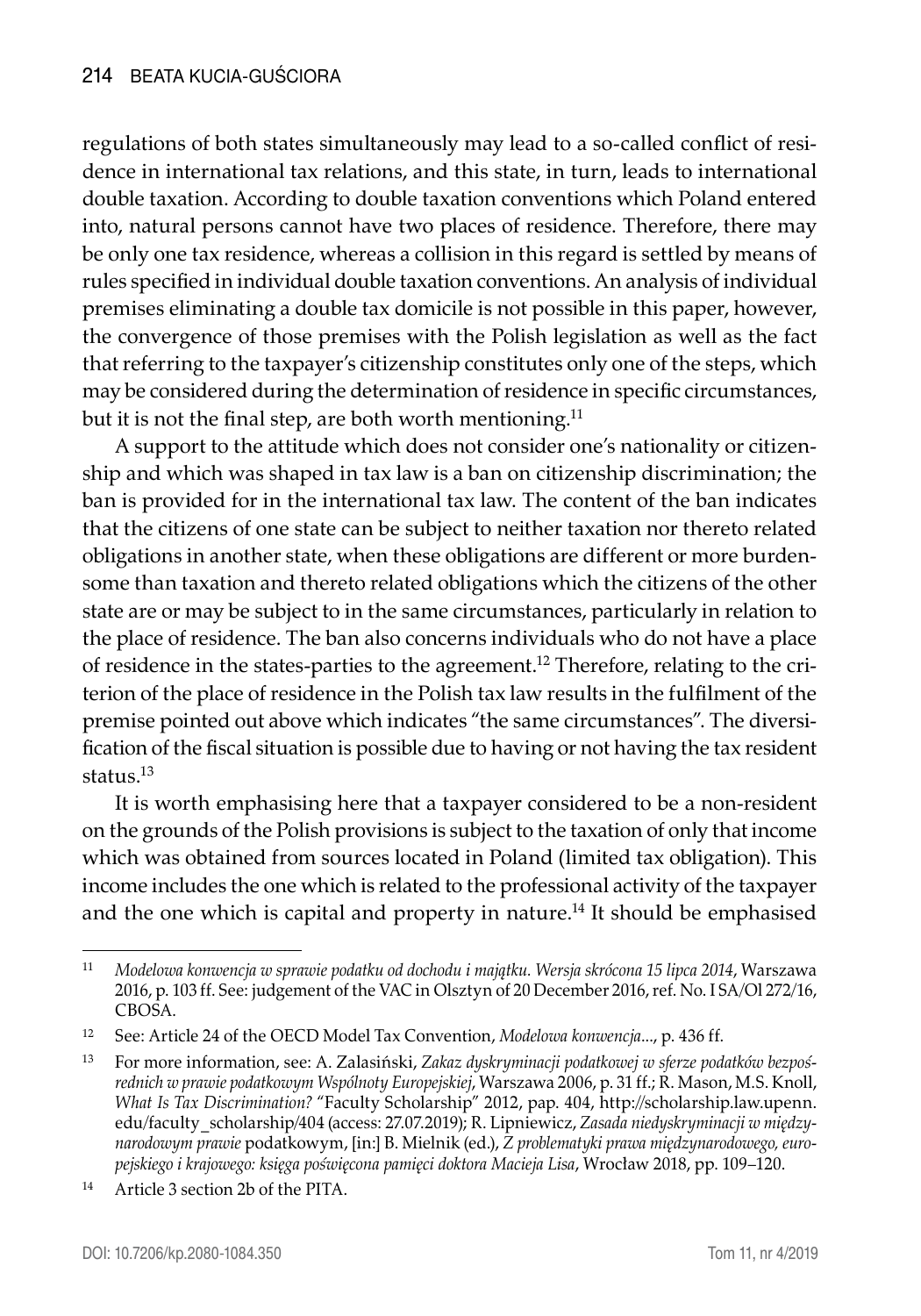regulations of both states simultaneously may lead to a so-called conflict of residence in international tax relations, and this state, in turn, leads to international double taxation. According to double taxation conventions which Poland entered into, natural persons cannot have two places of residence. Therefore, there may be only one tax residence, whereas a collision in this regard is settled by means of rules specified in individual double taxation conventions. An analysis of individual premises eliminating a double tax domicile is not possible in this paper, however, the convergence of those premises with the Polish legislation as well as the fact that referring to the taxpayer's citizenship constitutes only one of the steps, which may be considered during the determination of residence in specific circumstances, but it is not the final step, are both worth mentioning.<sup>11</sup>

A support to the attitude which does not consider one's nationality or citizenship and which was shaped in tax law is a ban on citizenship discrimination; the ban is provided for in the international tax law. The content of the ban indicates that the citizens of one state can be subject to neither taxation nor thereto related obligations in another state, when these obligations are different or more burdensome than taxation and thereto related obligations which the citizens of the other state are or may be subject to in the same circumstances, particularly in relation to the place of residence. The ban also concerns individuals who do not have a place of residence in the states-parties to the agreement.12 Therefore, relating to the criterion of the place of residence in the Polish tax law results in the fulfilment of the premise pointed out above which indicates "the same circumstances". The diversification of the fiscal situation is possible due to having or not having the tax resident status.<sup>13</sup>

It is worth emphasising here that a taxpayer considered to be a non-resident on the grounds of the Polish provisions is subject to the taxation of only that income which was obtained from sources located in Poland (limited tax obligation). This income includes the one which is related to the professional activity of the taxpayer and the one which is capital and property in nature.<sup>14</sup> It should be emphasised

<sup>11</sup> *Modelowa konwencja w sprawie podatku od dochodu i majątku. Wersja skrócona 15 lipca 2014*, Warszawa 2016, p. 103 ff. See: judgement of the VAC in Olsztyn of 20 December 2016, ref. No. I SA/Ol 272/16, **CBOSA** 

<sup>12</sup> See: Article 24 of the OECD Model Tax Convention, *Modelowa konwencja*..., p. 436 ff.

<sup>13</sup> For more information, see: A. Zalasiński, *Zakaz dyskryminacji podatkowej w sferze podatków bezpośrednich w prawie podatkowym Wspólnoty Europejskiej*, Warszawa 2006, p. 31 ff.; R. Mason, M.S. Knoll, *What Is Tax Discrimination?* "Faculty Scholarship" 2012, pap. 404, http://scholarship.law.upenn. edu/faculty\_scholarship/404 (access: 27.07.2019); R. Lipniewicz, *Zasada niedyskryminacji w międzynarodowym prawie* podatkowym, [in:] B. Mielnik (ed.), *Z problematyki prawa międzynarodowego, europejskiego i krajowego: księga poświęcona pamięci doktora Macieja Lisa*, Wrocław 2018, pp. 109–120.

<sup>14</sup> Article 3 section 2b of the PITA.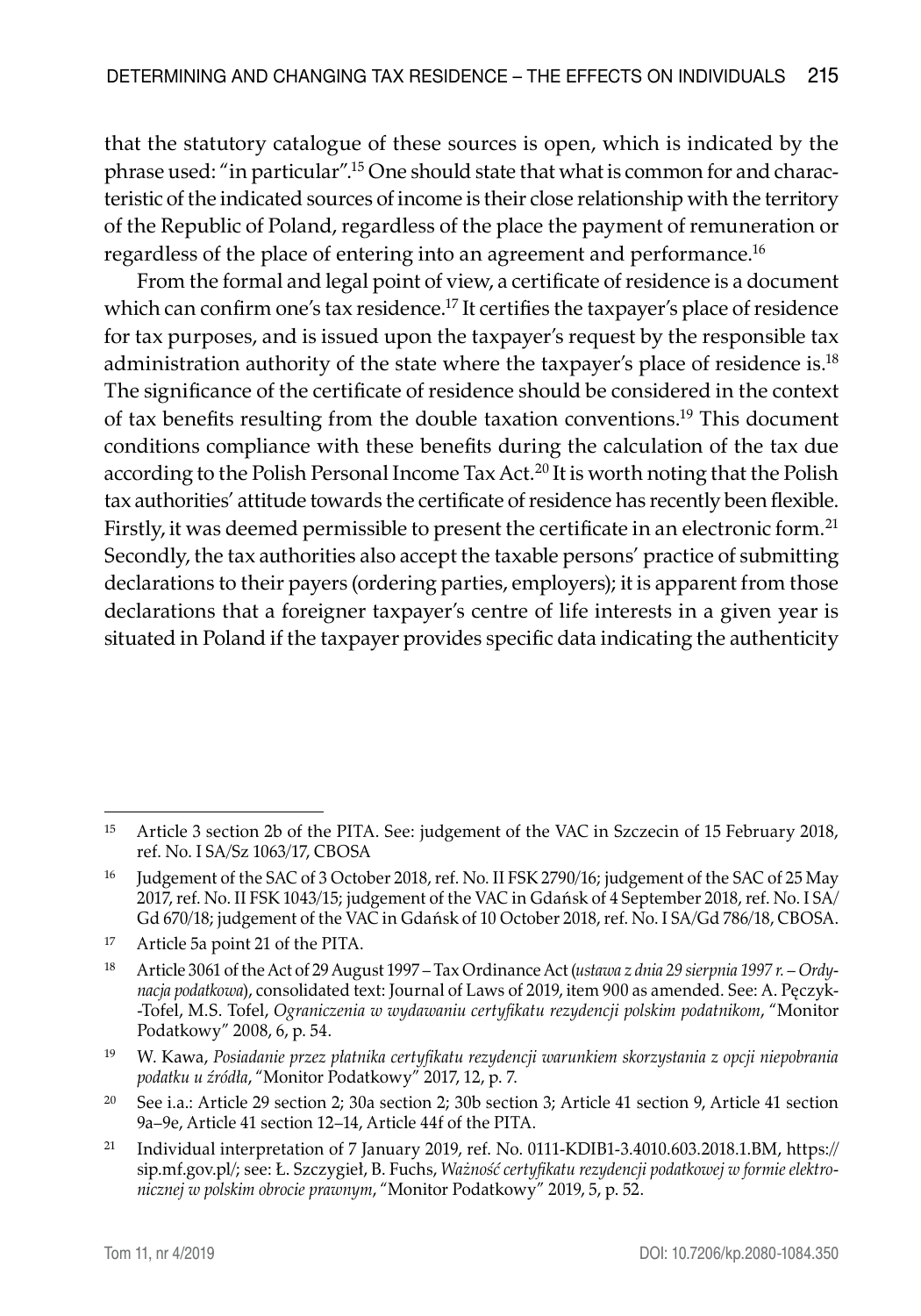that the statutory catalogue of these sources is open, which is indicated by the phrase used: "in particular".15 One should state that what is common for and characteristic of the indicated sources of income is their close relationship with the territory of the Republic of Poland, regardless of the place the payment of remuneration or regardless of the place of entering into an agreement and performance.<sup>16</sup>

From the formal and legal point of view, a certificate of residence is a document which can confirm one's tax residence.<sup>17</sup> It certifies the taxpayer's place of residence for tax purposes, and is issued upon the taxpayer's request by the responsible tax administration authority of the state where the taxpayer's place of residence is.<sup>18</sup> The significance of the certificate of residence should be considered in the context of tax benefits resulting from the double taxation conventions.19 This document conditions compliance with these benefits during the calculation of the tax due according to the Polish Personal Income Tax Act.<sup>20</sup> It is worth noting that the Polish tax authorities' attitude towards the certificate of residence has recently been flexible. Firstly, it was deemed permissible to present the certificate in an electronic form.21 Secondly, the tax authorities also accept the taxable persons' practice of submitting declarations to their payers (ordering parties, employers); it is apparent from those declarations that a foreigner taxpayer's centre of life interests in a given year is situated in Poland if the taxpayer provides specific data indicating the authenticity

<sup>&</sup>lt;sup>15</sup> Article 3 section 2b of the PITA. See: judgement of the VAC in Szczecin of 15 February 2018, ref. No. I SA/Sz 1063/17, CBOSA

<sup>&</sup>lt;sup>16</sup> Judgement of the SAC of 3 October 2018, ref. No. II FSK 2790/16; judgement of the SAC of 25 May 2017, ref. No. II FSK 1043/15; judgement of the VAC in Gdańsk of 4 September 2018, ref. No. I SA/ Gd 670/18; judgement of the VAC in Gdańsk of 10 October 2018, ref. No. I SA/Gd 786/18, CBOSA.

<sup>17</sup> Article 5a point 21 of the PITA.

<sup>18</sup> Article 3061 of the Act of 29 August 1997 – Tax Ordinance Act (*ustawa z dnia 29 sierpnia 1997 r. – Ordynacja podatkowa*), consolidated text: Journal of Laws of 2019, item 900 as amended. See: A. Pęczyk- -Tofel, M.S. Tofel, *Ograniczenia w wydawaniu certyfikatu rezydencji polskim podatnikom*, "Monitor Podatkowy" 2008, 6, p. 54.

<sup>19</sup> W. Kawa, *Posiadanie przez płatnika certyfikatu rezydencji warunkiem skorzystania z opcji niepobrania podatku u źródła*, "Monitor Podatkowy" 2017, 12, p. 7.

<sup>20</sup> See i.a.: Article 29 section 2; 30a section 2; 30b section 3; Article 41 section 9, Article 41 section 9a–9e, Article 41 section 12–14, Article 44f of the PITA.

<sup>&</sup>lt;sup>21</sup> Individual interpretation of 7 January 2019, ref. No. 0111-KDIB1-3.4010.603.2018.1.BM, https:// sip.mf.gov.pl/; see: Ł. Szczygieł, B. Fuchs, *Ważność certyfikatu rezydencji podatkowej w formie elektronicznej w polskim obrocie prawnym*, "Monitor Podatkowy" 2019, 5, p. 52.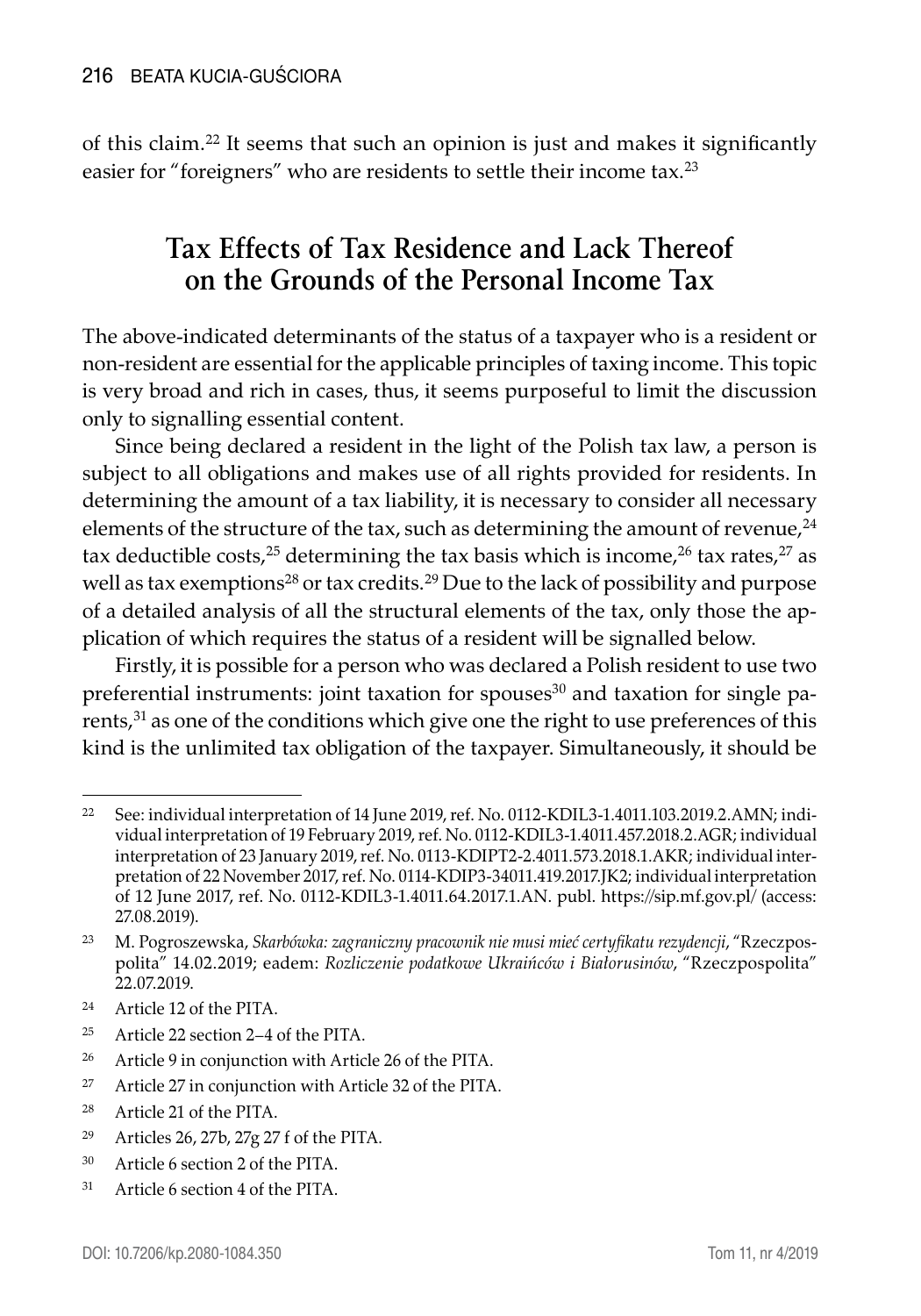of this claim.<sup>22</sup> It seems that such an opinion is just and makes it significantly easier for "foreigners" who are residents to settle their income tax.<sup>23</sup>

# **Tax Effects of Tax Residence and Lack Thereof on the Grounds of the Personal Income Tax**

The above-indicated determinants of the status of a taxpayer who is a resident or non-resident are essential for the applicable principles of taxing income. This topic is very broad and rich in cases, thus, it seems purposeful to limit the discussion only to signalling essential content.

Since being declared a resident in the light of the Polish tax law, a person is subject to all obligations and makes use of all rights provided for residents. In determining the amount of a tax liability, it is necessary to consider all necessary elements of the structure of the tax, such as determining the amount of revenue, $24$ tax deductible costs,<sup>25</sup> determining the tax basis which is income,<sup>26</sup> tax rates,<sup>27</sup> as well as tax exemptions<sup>28</sup> or tax credits.<sup>29</sup> Due to the lack of possibility and purpose of a detailed analysis of all the structural elements of the tax, only those the application of which requires the status of a resident will be signalled below.

Firstly, it is possible for a person who was declared a Polish resident to use two preferential instruments: joint taxation for spouses $30$  and taxation for single parents,<sup>31</sup> as one of the conditions which give one the right to use preferences of this kind is the unlimited tax obligation of the taxpayer. Simultaneously, it should be

- <sup>24</sup> Article 12 of the PITA.
- <sup>25</sup> Article 22 section 2–4 of the PITA.
- <sup>26</sup> Article 9 in conjunction with Article 26 of the PITA.
- <sup>27</sup> Article 27 in conjunction with Article 32 of the PITA.
- <sup>28</sup> Article 21 of the PITA.
- <sup>29</sup> Articles 26, 27b, 27g 27 f of the PITA.
- <sup>30</sup> Article 6 section 2 of the PITA.
- <sup>31</sup> Article 6 section 4 of the PITA.

<sup>&</sup>lt;sup>22</sup> See: individual interpretation of 14 June 2019, ref. No. 0112-KDIL3-1.4011.103.2019.2.AMN; individual interpretation of 19 February 2019, ref. No. 0112-KDIL3-1.4011.457.2018.2.AGR; individual interpretation of 23 January 2019, ref. No. 0113-KDIPT2-2.4011.573.2018.1.AKR; individual interpretation of 22 November 2017, ref. No. 0114-KDIP3-34011.419.2017.JK2; individual interpretation of 12 June 2017, ref. No. 0112-KDIL3-1.4011.64.2017.1.AN. publ. https://sip.mf.gov.pl/ (access: 27.08.2019).

<sup>23</sup> M. Pogroszewska, *Skarbówka: zagraniczny pracownik nie musi mieć certyfikatu rezydencji*, "Rzeczpospolita" 14.02.2019; eadem: *Rozliczenie podatkowe Ukraińców i Białorusinów*, "Rzeczpospolita" 22.07.2019.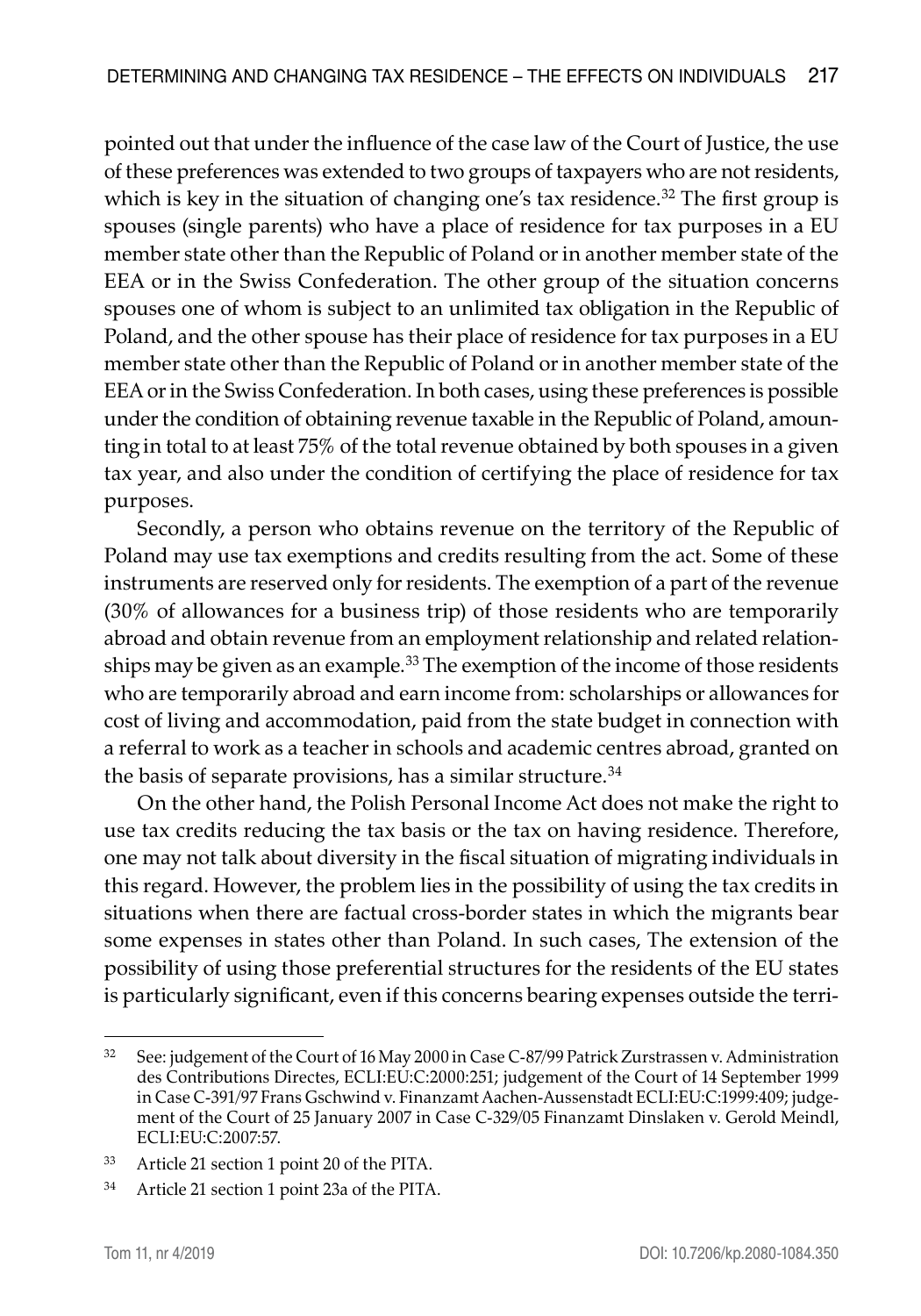pointed out that under the influence of the case law of the Court of Justice, the use of these preferences was extended to two groups of taxpayers who are not residents, which is key in the situation of changing one's tax residence.<sup>32</sup> The first group is spouses (single parents) who have a place of residence for tax purposes in a EU member state other than the Republic of Poland or in another member state of the EEA or in the Swiss Confederation. The other group of the situation concerns spouses one of whom is subject to an unlimited tax obligation in the Republic of Poland, and the other spouse has their place of residence for tax purposes in a EU member state other than the Republic of Poland or in another member state of the EEA or in the Swiss Confederation. In both cases, using these preferences is possible under the condition of obtaining revenue taxable in the Republic of Poland, amounting in total to at least 75% of the total revenue obtained by both spouses in a given tax year, and also under the condition of certifying the place of residence for tax purposes.

Secondly, a person who obtains revenue on the territory of the Republic of Poland may use tax exemptions and credits resulting from the act. Some of these instruments are reserved only for residents. The exemption of a part of the revenue (30% of allowances for a business trip) of those residents who are temporarily abroad and obtain revenue from an employment relationship and related relationships may be given as an example.<sup>33</sup> The exemption of the income of those residents who are temporarily abroad and earn income from: scholarships or allowances for cost of living and accommodation, paid from the state budget in connection with a referral to work as a teacher in schools and academic centres abroad, granted on the basis of separate provisions, has a similar structure.<sup>34</sup>

On the other hand, the Polish Personal Income Act does not make the right to use tax credits reducing the tax basis or the tax on having residence. Therefore, one may not talk about diversity in the fiscal situation of migrating individuals in this regard. However, the problem lies in the possibility of using the tax credits in situations when there are factual cross-border states in which the migrants bear some expenses in states other than Poland. In such cases, The extension of the possibility of using those preferential structures for the residents of the EU states is particularly significant, even if this concerns bearing expenses outside the terri-

<sup>32</sup> See: judgement of the Court of 16 May 2000 in Case C-87/99 Patrick Zurstrassen v. Administration des Contributions Directes, ECLI:EU:C:2000:251; judgement of the Court of 14 September 1999 in Case C-391/97 Frans Gschwind v. Finanzamt Aachen-Aussenstadt ECLI:EU:C:1999:409; judgement of the Court of 25 January 2007 in Case C-329/05 Finanzamt Dinslaken v. Gerold Meindl, ECLI:EU:C:2007:57.

<sup>33</sup> Article 21 section 1 point 20 of the PITA.

<sup>34</sup> Article 21 section 1 point 23a of the PITA.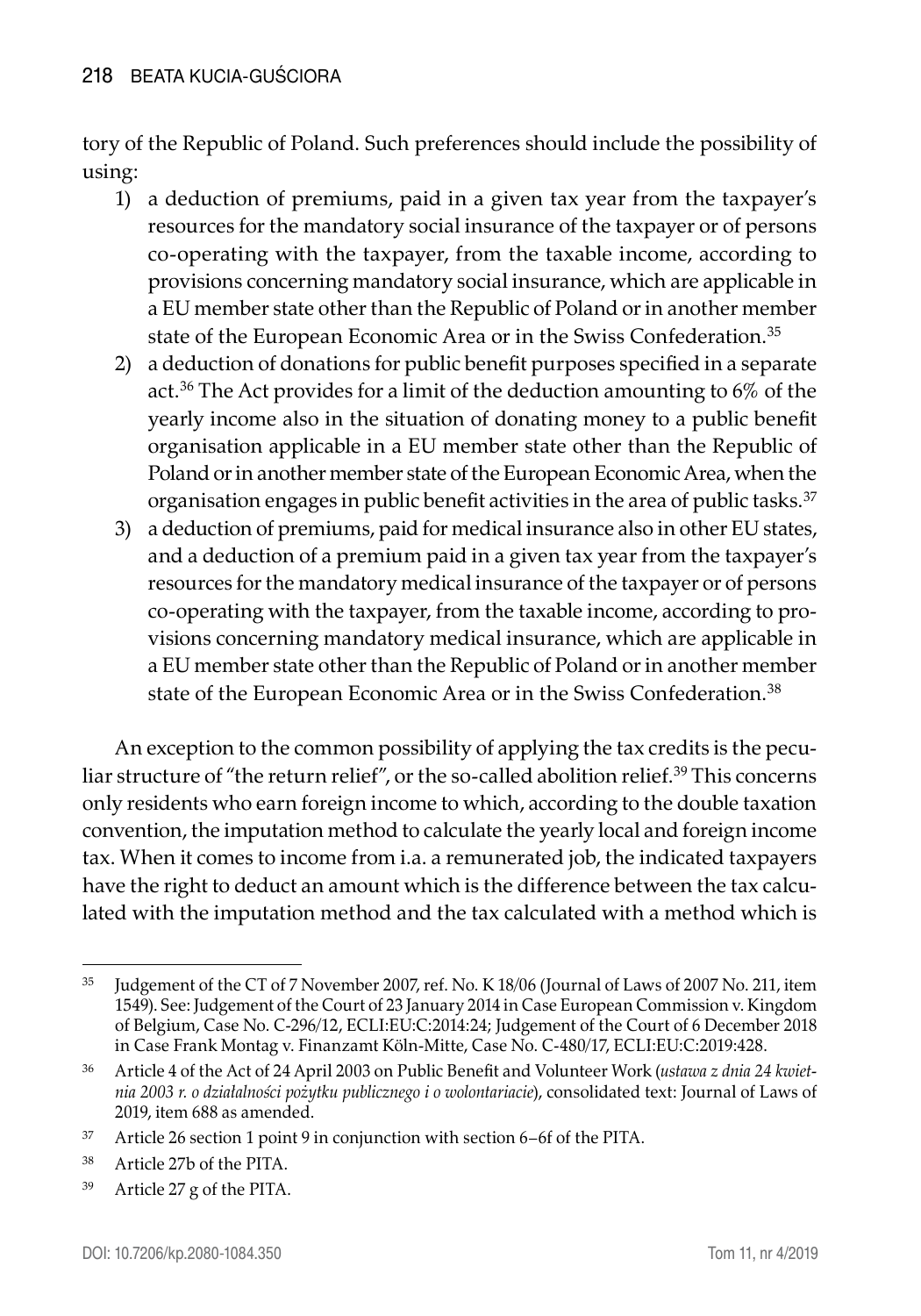tory of the Republic of Poland. Such preferences should include the possibility of using:

- 1) a deduction of premiums, paid in a given tax year from the taxpayer's resources for the mandatory social insurance of the taxpayer or of persons co-operating with the taxpayer, from the taxable income, according to provisions concerning mandatory social insurance, which are applicable in a EU member state other than the Republic of Poland or in another member state of the European Economic Area or in the Swiss Confederation.35
- 2) a deduction of donations for public benefit purposes specified in a separate act.36 The Act provides for a limit of the deduction amounting to 6% of the yearly income also in the situation of donating money to a public benefit organisation applicable in a EU member state other than the Republic of Poland or in another member state of the European Economic Area, when the organisation engages in public benefit activities in the area of public tasks.<sup>37</sup>
- 3) a deduction of premiums, paid for medical insurance also in other EU states, and a deduction of a premium paid in a given tax year from the taxpayer's resources for the mandatory medical insurance of the taxpayer or of persons co-operating with the taxpayer, from the taxable income, according to provisions concerning mandatory medical insurance, which are applicable in a EU member state other than the Republic of Poland or in another member state of the European Economic Area or in the Swiss Confederation.<sup>38</sup>

An exception to the common possibility of applying the tax credits is the peculiar structure of "the return relief", or the so-called abolition relief.39 This concerns only residents who earn foreign income to which, according to the double taxation convention, the imputation method to calculate the yearly local and foreign income tax. When it comes to income from i.a. a remunerated job, the indicated taxpayers have the right to deduct an amount which is the difference between the tax calculated with the imputation method and the tax calculated with a method which is

<sup>39</sup> Article 27 g of the PITA.

<sup>35</sup> Judgement of the CT of 7 November 2007, ref. No. K 18/06 (Journal of Laws of 2007 No. 211, item 1549). See: Judgement of the Court of 23 January 2014 in Case European Commission v. Kingdom of Belgium, Case No. C-296/12, ECLI:EU:C:2014:24; Judgement of the Court of 6 December 2018 in Case Frank Montag v. Finanzamt Köln-Mitte, Case No. C-480/17, ECLI:EU:C:2019:428.

<sup>36</sup> Article 4 of the Act of 24 April 2003 on Public Benefit and Volunteer Work (*ustawa z dnia 24 kwietnia 2003 r. o działalności pożytku publicznego i o wolontariacie*), consolidated text: Journal of Laws of 2019, item 688 as amended.

<sup>37</sup> Article 26 section 1 point 9 in conjunction with section 6–6f of the PITA.

<sup>38</sup> Article 27b of the PITA.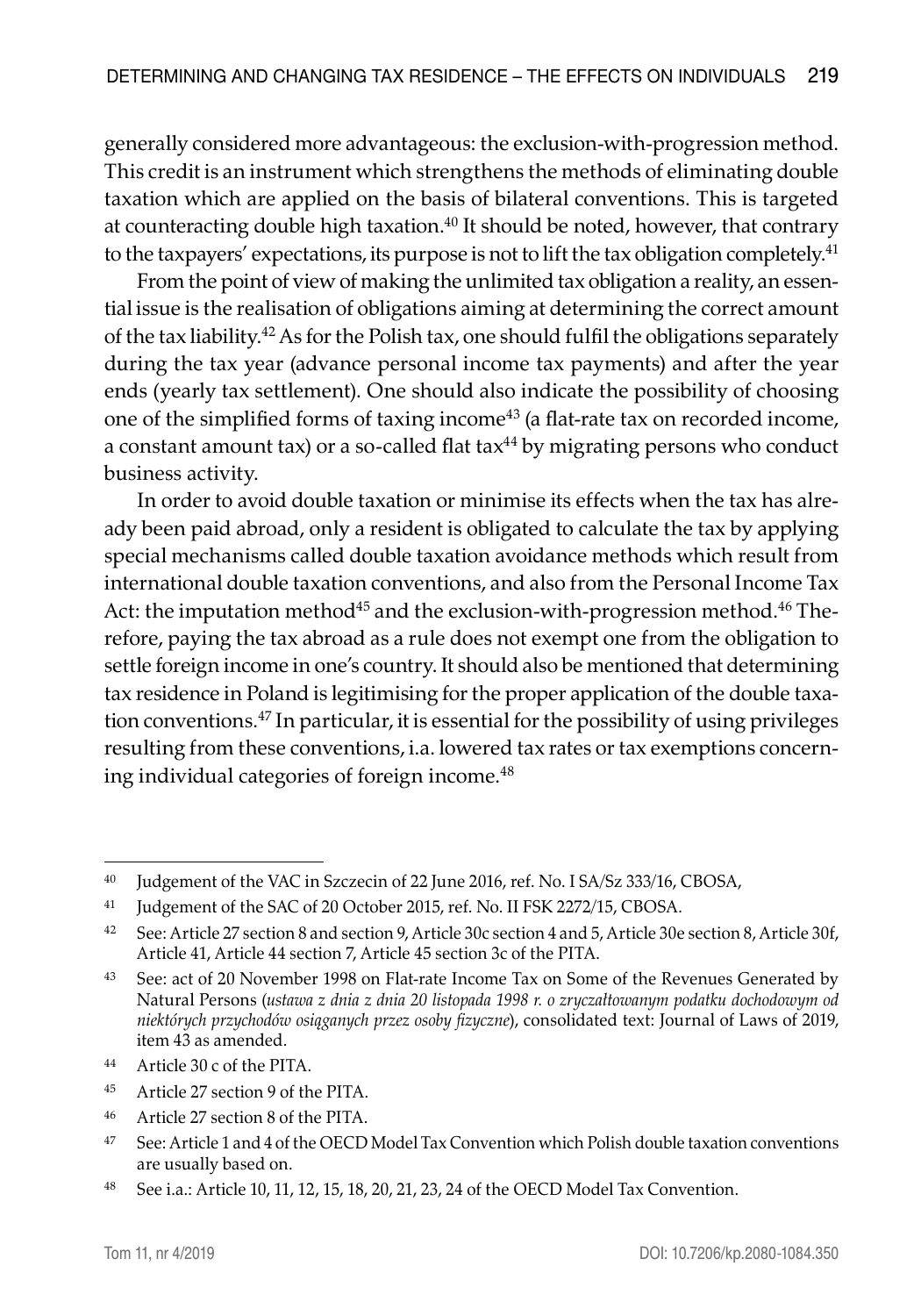generally considered more advantageous: the exclusion-with-progression method. This credit is an instrument which strengthens the methods of eliminating double taxation which are applied on the basis of bilateral conventions. This is targeted at counteracting double high taxation.<sup>40</sup> It should be noted, however, that contrary to the taxpayers' expectations, its purpose is not to lift the tax obligation completely.<sup>41</sup>

From the point of view of making the unlimited tax obligation a reality, an essential issue is the realisation of obligations aiming at determining the correct amount of the tax liability.42 As for the Polish tax, one should fulfil the obligations separately during the tax year (advance personal income tax payments) and after the year ends (yearly tax settlement). One should also indicate the possibility of choosing one of the simplified forms of taxing income<sup>43</sup> (a flat-rate tax on recorded income, a constant amount tax) or a so-called flat tax $44$  by migrating persons who conduct business activity.

In order to avoid double taxation or minimise its effects when the tax has already been paid abroad, only a resident is obligated to calculate the tax by applying special mechanisms called double taxation avoidance methods which result from international double taxation conventions, and also from the Personal Income Tax Act: the imputation method<sup>45</sup> and the exclusion-with-progression method.<sup>46</sup> Therefore, paying the tax abroad as a rule does not exempt one from the obligation to settle foreign income in one's country. It should also be mentioned that determining tax residence in Poland is legitimising for the proper application of the double taxation conventions.47 In particular, it is essential for the possibility of using privileges resulting from these conventions, i.a. lowered tax rates or tax exemptions concerning individual categories of foreign income.<sup>48</sup>

<sup>46</sup> Article 27 section 8 of the PITA.

<sup>40</sup> Judgement of the VAC in Szczecin of 22 June 2016, ref. No. I SA/Sz 333/16, CBOSA,

<sup>&</sup>lt;sup>41</sup> Judgement of the SAC of 20 October 2015, ref. No. II FSK 2272/15, CBOSA.

<sup>42</sup> See: Article 27 section 8 and section 9, Article 30c section 4 and 5, Article 30e section 8, Article 30f, Article 41, Article 44 section 7, Article 45 section 3c of the PITA.

<sup>43</sup> See: act of 20 November 1998 on Flat-rate Income Tax on Some of the Revenues Generated by Natural Persons (*ustawa z dnia z dnia 20 listopada 1998 r. o zryczałtowanym podatku dochodowym od niektórych przychodów osiąganych przez osoby fizyczne*), consolidated text: Journal of Laws of 2019, item 43 as amended.

<sup>44</sup> Article 30 c of the PITA.

<sup>45</sup> Article 27 section 9 of the PITA.

<sup>&</sup>lt;sup>47</sup> See: Article 1 and 4 of the OECD Model Tax Convention which Polish double taxation conventions are usually based on.

<sup>48</sup> See i.a.: Article 10, 11, 12, 15, 18, 20, 21, 23, 24 of the OECD Model Tax Convention.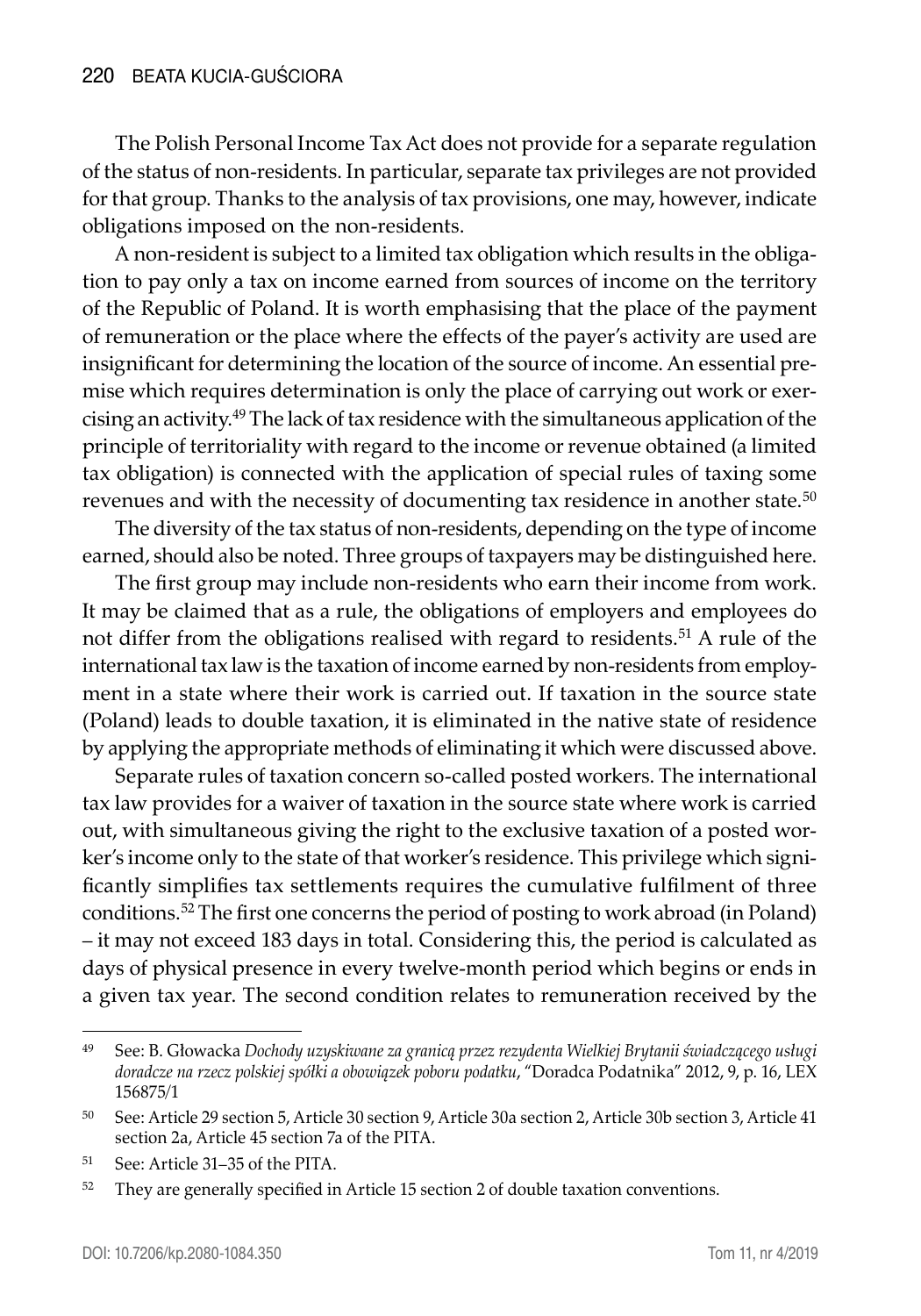The Polish Personal Income Tax Act does not provide for a separate regulation of the status of non-residents. In particular, separate tax privileges are not provided for that group. Thanks to the analysis of tax provisions, one may, however, indicate obligations imposed on the non-residents.

A non-resident is subject to a limited tax obligation which results in the obligation to pay only a tax on income earned from sources of income on the territory of the Republic of Poland. It is worth emphasising that the place of the payment of remuneration or the place where the effects of the payer's activity are used are insignificant for determining the location of the source of income. An essential premise which requires determination is only the place of carrying out work or exercising an activity.49 The lack of tax residence with the simultaneous application of the principle of territoriality with regard to the income or revenue obtained (a limited tax obligation) is connected with the application of special rules of taxing some revenues and with the necessity of documenting tax residence in another state.<sup>50</sup>

The diversity of the tax status of non-residents, depending on the type of income earned, should also be noted. Three groups of taxpayers may be distinguished here.

The first group may include non-residents who earn their income from work. It may be claimed that as a rule, the obligations of employers and employees do not differ from the obligations realised with regard to residents.<sup>51</sup> A rule of the international tax law is the taxation of income earned by non-residents from employment in a state where their work is carried out. If taxation in the source state (Poland) leads to double taxation, it is eliminated in the native state of residence by applying the appropriate methods of eliminating it which were discussed above.

Separate rules of taxation concern so-called posted workers. The international tax law provides for a waiver of taxation in the source state where work is carried out, with simultaneous giving the right to the exclusive taxation of a posted worker's income only to the state of that worker's residence. This privilege which significantly simplifies tax settlements requires the cumulative fulfilment of three conditions.52 The first one concerns the period of posting to work abroad (in Poland) – it may not exceed 183 days in total. Considering this, the period is calculated as days of physical presence in every twelve-month period which begins or ends in a given tax year. The second condition relates to remuneration received by the

<sup>49</sup> See: B. Głowacka *Dochody uzyskiwane za granicą przez rezydenta Wielkiej Brytanii świadczącego usługi doradcze na rzecz polskiej spółki a obowiązek poboru podatku*, "Doradca Podatnika" 2012, 9, p. 16, LEX 156875/1

<sup>50</sup> See: Article 29 section 5, Article 30 section 9, Article 30a section 2, Article 30b section 3, Article 41 section 2a, Article 45 section 7a of the PITA.

<sup>51</sup> See: Article 31–35 of the PITA.

<sup>&</sup>lt;sup>52</sup> They are generally specified in Article 15 section 2 of double taxation conventions.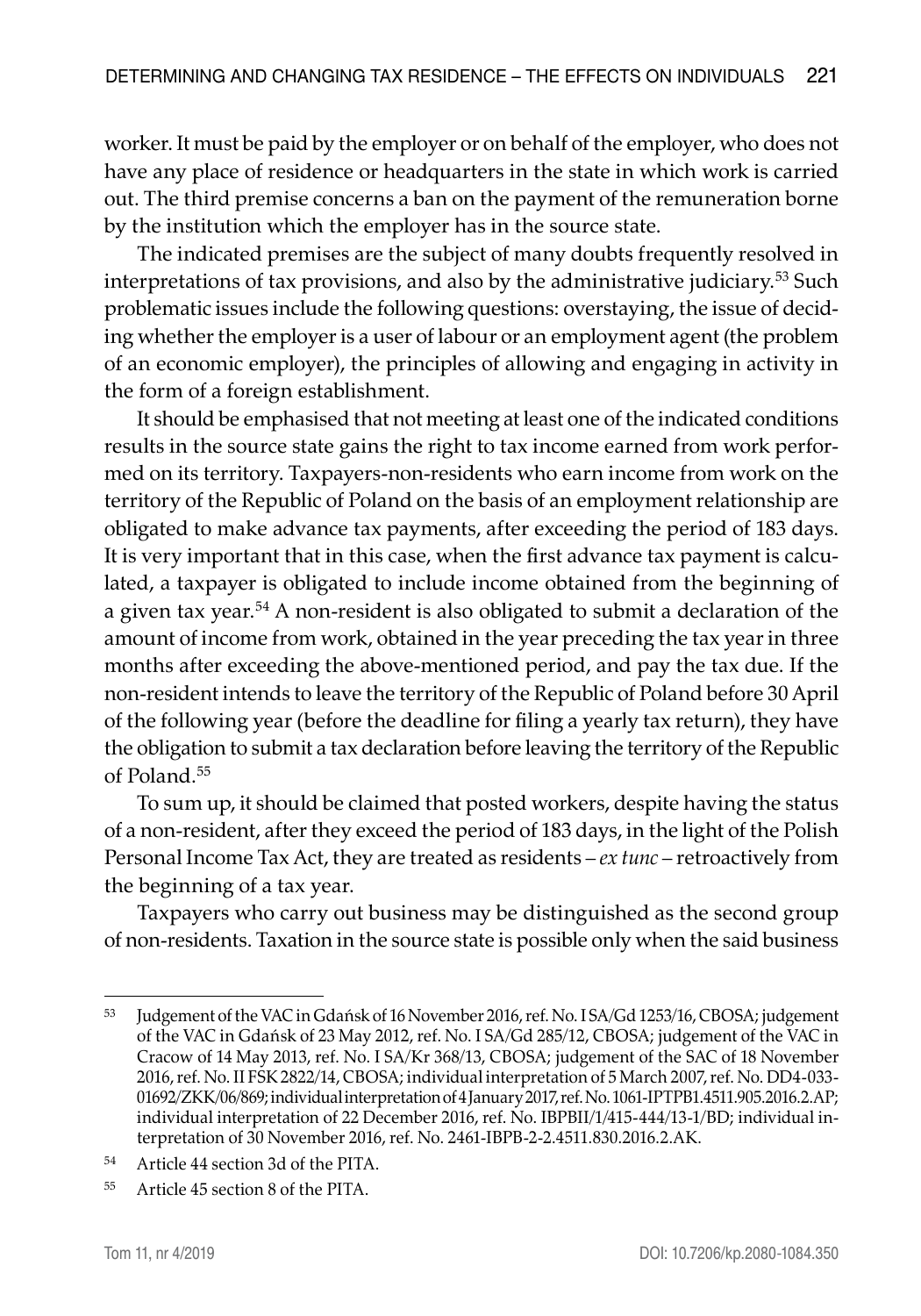worker. It must be paid by the employer or on behalf of the employer, who does not have any place of residence or headquarters in the state in which work is carried out. The third premise concerns a ban on the payment of the remuneration borne by the institution which the employer has in the source state.

The indicated premises are the subject of many doubts frequently resolved in interpretations of tax provisions, and also by the administrative judiciary.53 Such problematic issues include the following questions: overstaying, the issue of deciding whether the employer is a user of labour or an employment agent (the problem of an economic employer), the principles of allowing and engaging in activity in the form of a foreign establishment.

It should be emphasised that not meeting at least one of the indicated conditions results in the source state gains the right to tax income earned from work performed on its territory. Taxpayers-non-residents who earn income from work on the territory of the Republic of Poland on the basis of an employment relationship are obligated to make advance tax payments, after exceeding the period of 183 days. It is very important that in this case, when the first advance tax payment is calculated, a taxpayer is obligated to include income obtained from the beginning of a given tax year.54 A non-resident is also obligated to submit a declaration of the amount of income from work, obtained in the year preceding the tax year in three months after exceeding the above-mentioned period, and pay the tax due. If the non-resident intends to leave the territory of the Republic of Poland before 30 April of the following year (before the deadline for filing a yearly tax return), they have the obligation to submit a tax declaration before leaving the territory of the Republic of Poland.<sup>55</sup>

To sum up, it should be claimed that posted workers, despite having the status of a non-resident, after they exceed the period of 183 days, in the light of the Polish Personal Income Tax Act, they are treated as residents – *ex tunc* – retroactively from the beginning of a tax year.

Taxpayers who carry out business may be distinguished as the second group of non-residents. Taxation in the source state is possible only when the said business

<sup>53</sup> Judgement of the VAC in Gdańsk of 16 November 2016, ref. No. I SA/Gd 1253/16, CBOSA; judgement of the VAC in Gdańsk of 23 May 2012, ref. No. I SA/Gd 285/12, CBOSA; judgement of the VAC in Cracow of 14 May 2013, ref. No. I SA/Kr 368/13, CBOSA; judgement of the SAC of 18 November 2016, ref. No. II FSK 2822/14, CBOSA; individual interpretation of 5 March 2007, ref. No. DD4-033- 01692/ZKK/06/869; individual interpretation of 4 January 2017, ref. No. 1061-IPTPB1.4511.905.2016.2.AP; individual interpretation of 22 December 2016, ref. No. IBPBII/1/415-444/13-1/BD; individual interpretation of 30 November 2016, ref. No. 2461-IBPB-2-2.4511.830.2016.2.AK.

<sup>54</sup> Article 44 section 3d of the PITA.

<sup>55</sup> Article 45 section 8 of the PITA.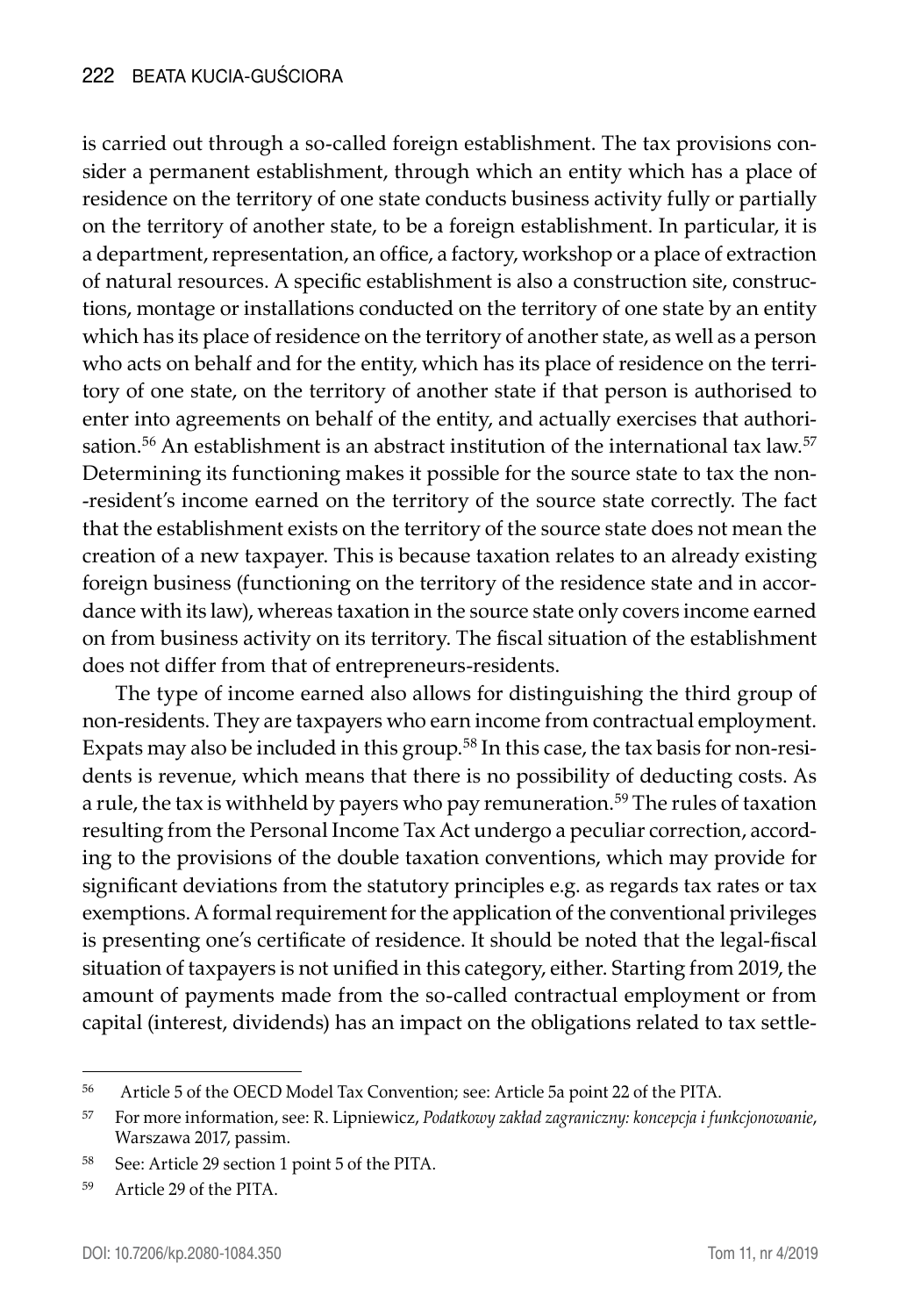is carried out through a so-called foreign establishment. The tax provisions consider a permanent establishment, through which an entity which has a place of residence on the territory of one state conducts business activity fully or partially on the territory of another state, to be a foreign establishment. In particular, it is a department, representation, an office, a factory, workshop or a place of extraction of natural resources. A specific establishment is also a construction site, constructions, montage or installations conducted on the territory of one state by an entity which has its place of residence on the territory of another state, as well as a person who acts on behalf and for the entity, which has its place of residence on the territory of one state, on the territory of another state if that person is authorised to enter into agreements on behalf of the entity, and actually exercises that authorisation.<sup>56</sup> An establishment is an abstract institution of the international tax law.<sup>57</sup> Determining its functioning makes it possible for the source state to tax the non- -resident's income earned on the territory of the source state correctly. The fact that the establishment exists on the territory of the source state does not mean the creation of a new taxpayer. This is because taxation relates to an already existing foreign business (functioning on the territory of the residence state and in accordance with its law), whereas taxation in the source state only covers income earned on from business activity on its territory. The fiscal situation of the establishment does not differ from that of entrepreneurs-residents.

The type of income earned also allows for distinguishing the third group of non-residents. They are taxpayers who earn income from contractual employment. Expats may also be included in this group.<sup>58</sup> In this case, the tax basis for non-residents is revenue, which means that there is no possibility of deducting costs. As a rule, the tax is withheld by payers who pay remuneration.<sup>59</sup> The rules of taxation resulting from the Personal Income Tax Act undergo a peculiar correction, according to the provisions of the double taxation conventions, which may provide for significant deviations from the statutory principles e.g. as regards tax rates or tax exemptions. A formal requirement for the application of the conventional privileges is presenting one's certificate of residence. It should be noted that the legal-fiscal situation of taxpayers is not unified in this category, either. Starting from 2019, the amount of payments made from the so-called contractual employment or from capital (interest, dividends) has an impact on the obligations related to tax settle-

<sup>56</sup> Article 5 of the OECD Model Tax Convention; see: Article 5a point 22 of the PITA.

<sup>57</sup> For more information, see: R. Lipniewicz, *Podatkowy zakład zagraniczny: koncepcja i funkcjonowanie*, Warszawa 2017, passim.

<sup>58</sup> See: Article 29 section 1 point 5 of the PITA.

<sup>59</sup> Article 29 of the PITA.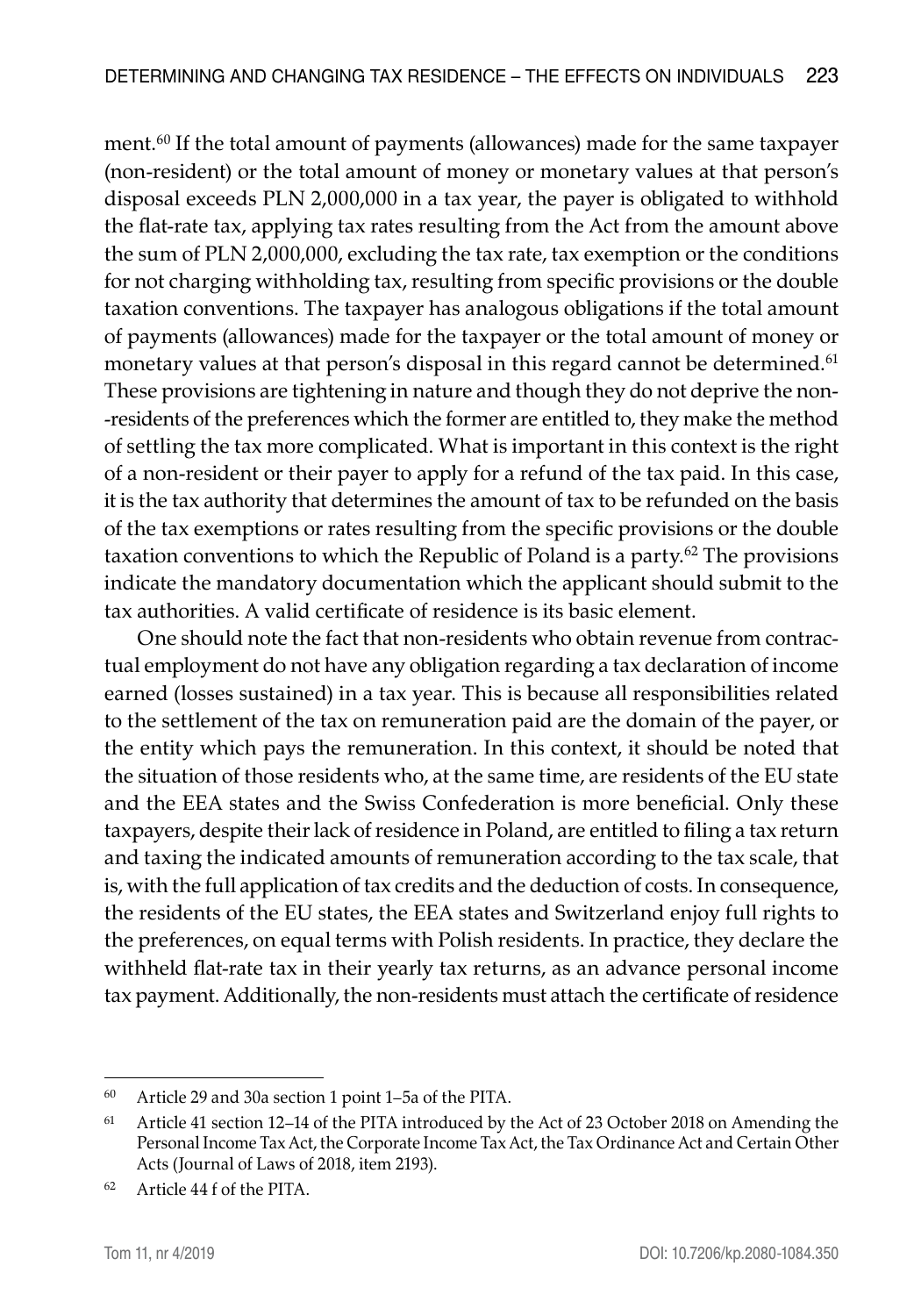ment.60 If the total amount of payments (allowances) made for the same taxpayer (non-resident) or the total amount of money or monetary values at that person's disposal exceeds PLN 2,000,000 in a tax year, the payer is obligated to withhold the flat-rate tax, applying tax rates resulting from the Act from the amount above the sum of PLN 2,000,000, excluding the tax rate, tax exemption or the conditions for not charging withholding tax, resulting from specific provisions or the double taxation conventions. The taxpayer has analogous obligations if the total amount of payments (allowances) made for the taxpayer or the total amount of money or monetary values at that person's disposal in this regard cannot be determined.<sup>61</sup> These provisions are tightening in nature and though they do not deprive the non- -residents of the preferences which the former are entitled to, they make the method of settling the tax more complicated. What is important in this context is the right of a non-resident or their payer to apply for a refund of the tax paid. In this case, it is the tax authority that determines the amount of tax to be refunded on the basis of the tax exemptions or rates resulting from the specific provisions or the double taxation conventions to which the Republic of Poland is a party.62 The provisions indicate the mandatory documentation which the applicant should submit to the tax authorities. A valid certificate of residence is its basic element.

One should note the fact that non-residents who obtain revenue from contractual employment do not have any obligation regarding a tax declaration of income earned (losses sustained) in a tax year. This is because all responsibilities related to the settlement of the tax on remuneration paid are the domain of the payer, or the entity which pays the remuneration. In this context, it should be noted that the situation of those residents who, at the same time, are residents of the EU state and the EEA states and the Swiss Confederation is more beneficial. Only these taxpayers, despite their lack of residence in Poland, are entitled to filing a tax return and taxing the indicated amounts of remuneration according to the tax scale, that is, with the full application of tax credits and the deduction of costs. In consequence, the residents of the EU states, the EEA states and Switzerland enjoy full rights to the preferences, on equal terms with Polish residents. In practice, they declare the withheld flat-rate tax in their yearly tax returns, as an advance personal income tax payment. Additionally, the non-residents must attach the certificate of residence

<sup>60</sup> Article 29 and 30a section 1 point 1–5a of the PITA.

<sup>61</sup> Article 41 section 12–14 of the PITA introduced by the Act of 23 October 2018 on Amending the Personal Income Tax Act, the Corporate Income Tax Act, the Tax Ordinance Act and Certain Other Acts (Journal of Laws of 2018, item 2193).

<sup>62</sup> Article 44 f of the PITA.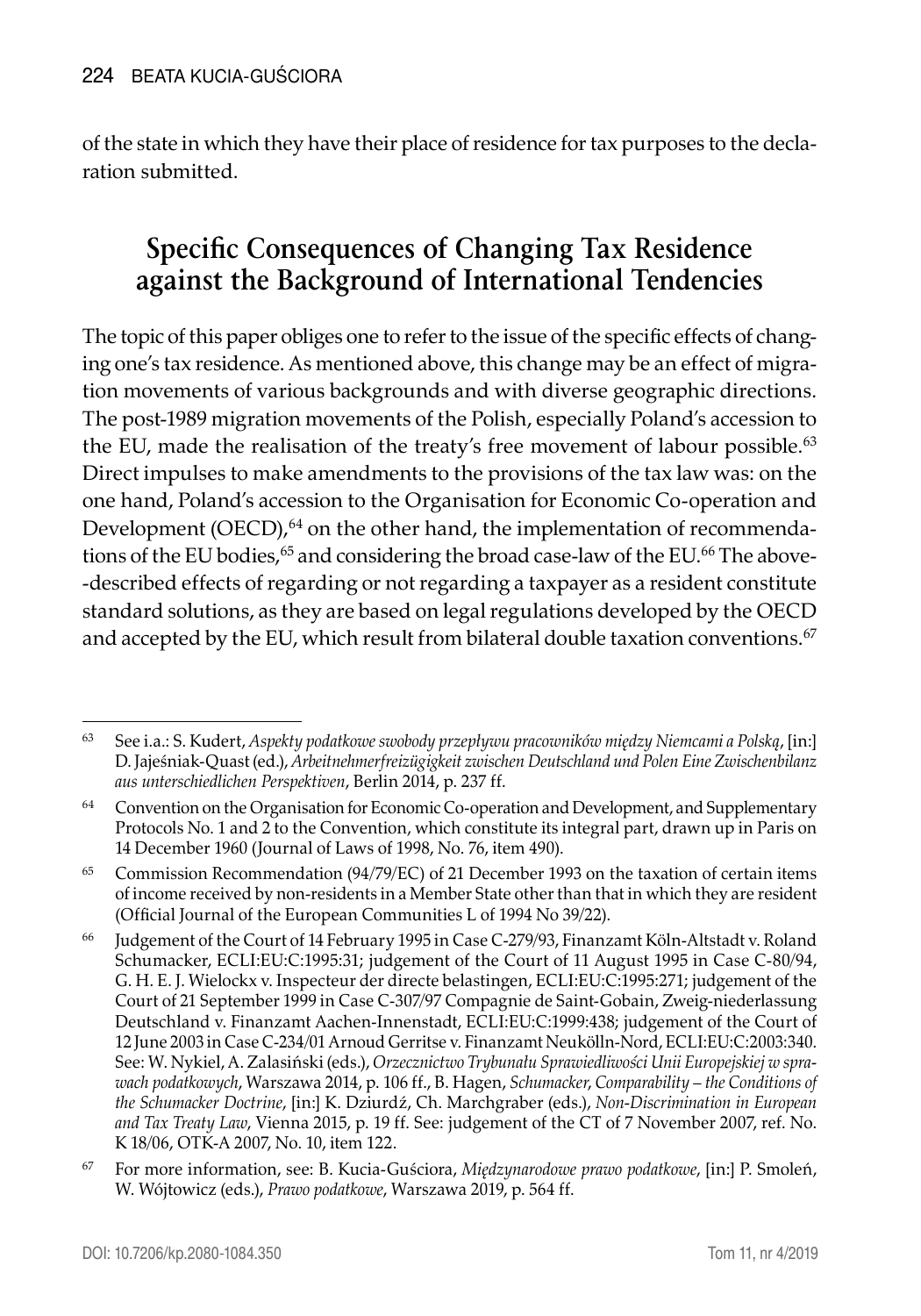of the state in which they have their place of residence for tax purposes to the declaration submitted.

# **Specific Consequences of Changing Tax Residence against the Background of International Tendencies**

The topic of this paper obliges one to refer to the issue of the specific effects of changing one's tax residence. As mentioned above, this change may be an effect of migration movements of various backgrounds and with diverse geographic directions. The post-1989 migration movements of the Polish, especially Poland's accession to the EU, made the realisation of the treaty's free movement of labour possible.<sup>63</sup> Direct impulses to make amendments to the provisions of the tax law was: on the one hand, Poland's accession to the Organisation for Economic Co-operation and Development (OECD),<sup>64</sup> on the other hand, the implementation of recommendations of the EU bodies,<sup>65</sup> and considering the broad case-law of the EU.<sup>66</sup> The above--described effects of regarding or not regarding a taxpayer as a resident constitute standard solutions, as they are based on legal regulations developed by the OECD and accepted by the EU, which result from bilateral double taxation conventions.<sup>67</sup>

<sup>63</sup> See i.a.: S. Kudert, *Aspekty podatkowe swobody przepływu pracowników między Niemcami a Polską*, [in:] D. Jajeśniak-Quast (ed.), *Arbeitnehmerfreizügigkeit zwischen Deutschland und Polen Eine Zwischenbilanz aus unterschiedlichen Perspektiven*, Berlin 2014, p. 237 ff.

 $64$  Convention on the Organisation for Economic Co-operation and Development, and Supplementary Protocols No. 1 and 2 to the Convention, which constitute its integral part, drawn up in Paris on 14 December 1960 (Journal of Laws of 1998, No. 76, item 490).

<sup>65</sup> Commission Recommendation (94/79/EC) of 21 December 1993 on the taxation of certain items of income received by non-residents in a Member State other than that in which they are resident (Official Journal of the European Communities L of 1994 No 39/22).

<sup>66</sup> Judgement of the Court of 14 February 1995 in Case C-279/93, Finanzamt Köln-Altstadt v. Roland Schumacker, ECLI:EU:C:1995:31; judgement of the Court of 11 August 1995 in Case C-80/94, G. H. E. J. Wielockx v. Inspecteur der directe belastingen, ECLI:EU:C:1995:271; judgement of the Court of 21 September 1999 in Case C-307/97 Compagnie de Saint-Gobain, Zweig-niederlassung Deutschland v. Finanzamt Aachen-Innenstadt, ECLI:EU:C:1999:438; judgement of the Court of 12 June 2003 in Case C-234/01 Arnoud Gerritse v. Finanzamt Neukölln-Nord, ECLI:EU:C:2003:340. See: W. Nykiel, A. Zalasiński (eds.), *Orzecznictwo Trybunału Sprawiedliwości Unii Europejskiej w sprawach podatkowych*, Warszawa 2014, p. 106 ff., B. Hagen, *Schumacker*, *Comparability – the Conditions of the Schumacker Doctrine*, [in:] K. Dziurdź, Ch. Marchgraber (eds.), *Non-Discrimination in European and Tax Treaty Law*, Vienna 2015, p. 19 ff. See: judgement of the CT of 7 November 2007, ref. No. K 18/06, OTK-A 2007, No. 10, item 122.

<sup>67</sup> For more information, see: B. Kucia-Guściora, *Międzynarodowe prawo podatkowe*, [in:] P. Smoleń, W. Wójtowicz (eds.), *Prawo podatkowe*, Warszawa 2019, p. 564 ff.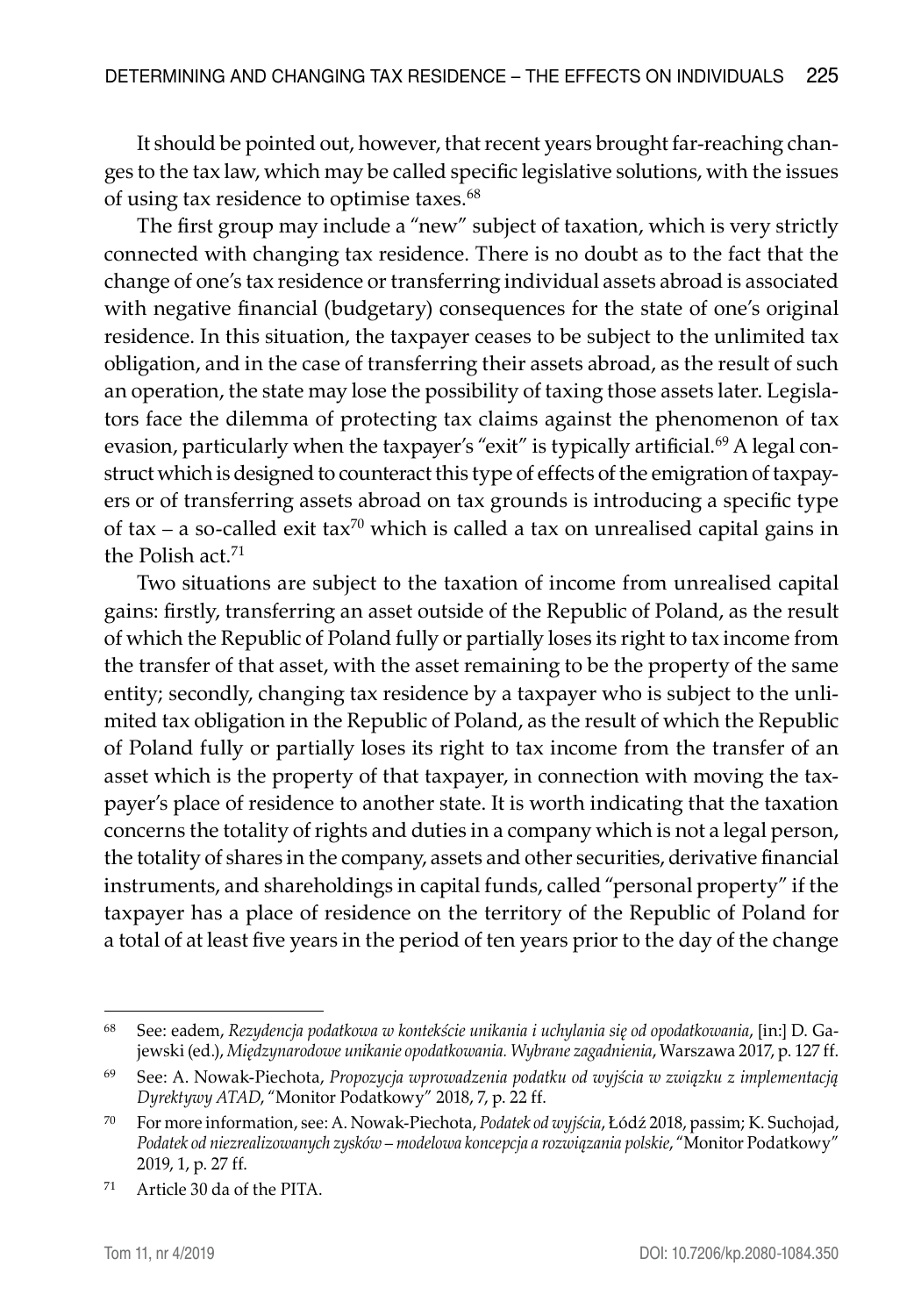It should be pointed out, however, that recent years brought far-reaching changes to the tax law, which may be called specific legislative solutions, with the issues of using tax residence to optimise taxes.<sup>68</sup>

The first group may include a "new" subject of taxation, which is very strictly connected with changing tax residence. There is no doubt as to the fact that the change of one's tax residence or transferring individual assets abroad is associated with negative financial (budgetary) consequences for the state of one's original residence. In this situation, the taxpayer ceases to be subject to the unlimited tax obligation, and in the case of transferring their assets abroad, as the result of such an operation, the state may lose the possibility of taxing those assets later. Legislators face the dilemma of protecting tax claims against the phenomenon of tax evasion, particularly when the taxpayer's "exit" is typically artificial.<sup>69</sup> A legal construct which is designed to counteract this type of effects of the emigration of taxpayers or of transferring assets abroad on tax grounds is introducing a specific type of tax – a so-called exit tax<sup>70</sup> which is called a tax on unrealised capital gains in the Polish act.<sup>71</sup>

Two situations are subject to the taxation of income from unrealised capital gains: firstly, transferring an asset outside of the Republic of Poland, as the result of which the Republic of Poland fully or partially loses its right to tax income from the transfer of that asset, with the asset remaining to be the property of the same entity; secondly, changing tax residence by a taxpayer who is subject to the unlimited tax obligation in the Republic of Poland, as the result of which the Republic of Poland fully or partially loses its right to tax income from the transfer of an asset which is the property of that taxpayer, in connection with moving the taxpayer's place of residence to another state. It is worth indicating that the taxation concerns the totality of rights and duties in a company which is not a legal person, the totality of shares in the company, assets and other securities, derivative financial instruments, and shareholdings in capital funds, called "personal property" if the taxpayer has a place of residence on the territory of the Republic of Poland for a total of at least five years in the period of ten years prior to the day of the change

<sup>68</sup> See: eadem, *Rezydencja podatkowa w kontekście unikania i uchylania się od opodatkowania*, [in:] D. Gajewski (ed.), *Międzynarodowe unikanie opodatkowania. Wybrane zagadnienia*, Warszawa 2017, p. 127 ff.

<sup>69</sup> See: A. Nowak-Piechota, *Propozycja wprowadzenia podatku od wyjścia w związku z implementacją Dyrektywy ATAD*, "Monitor Podatkowy" 2018, 7, p. 22 ff.

<sup>70</sup> For more information, see: A. Nowak-Piechota, *Podatek od wyjścia*, Łódź 2018, passim; K. Suchojad, *Podatek od niezrealizowanych zysków – modelowa koncepcja a rozwiązania polskie*, "Monitor Podatkowy" 2019, 1, p. 27 ff.

<sup>71</sup> Article 30 da of the PITA.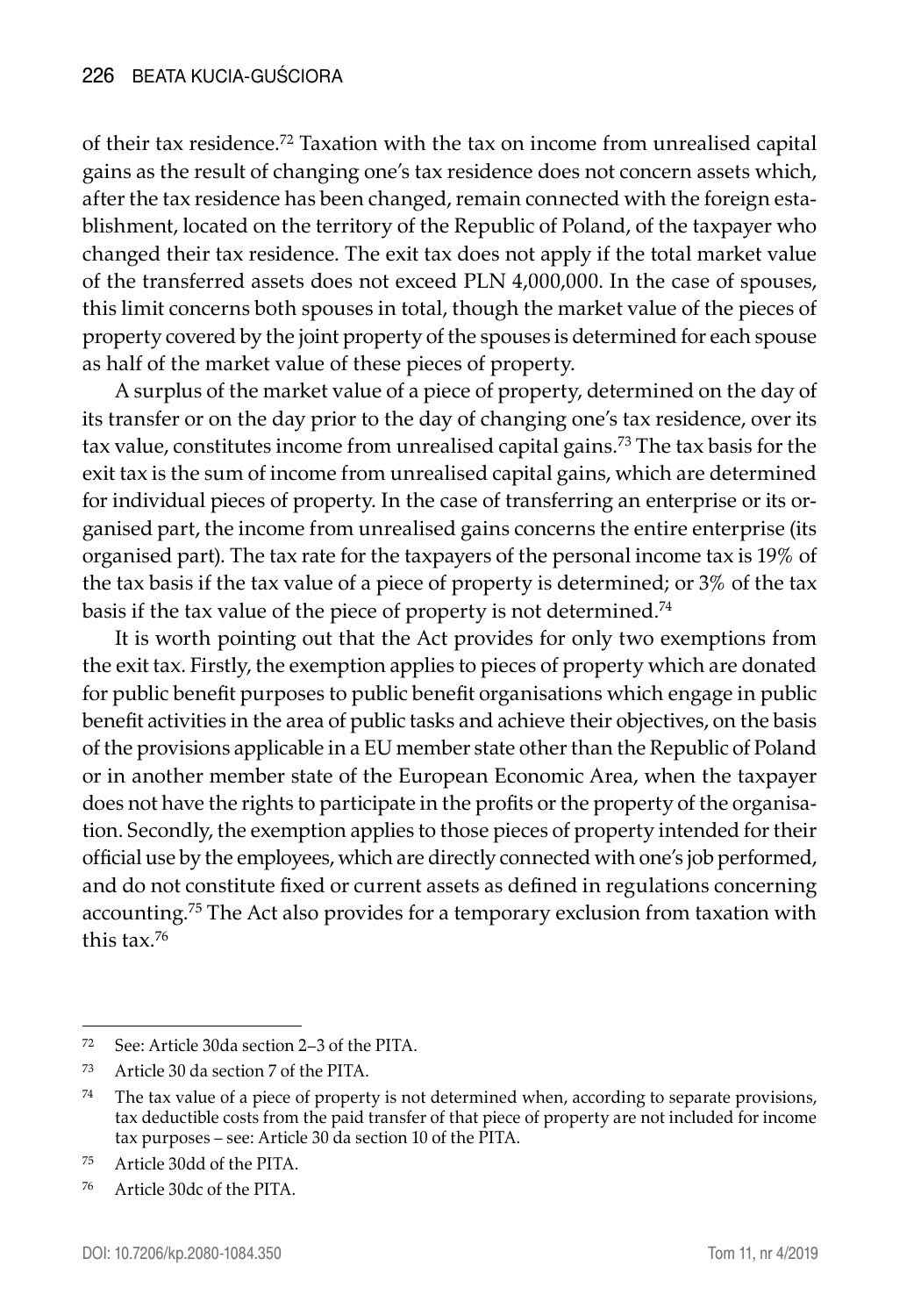of their tax residence.<sup>72</sup> Taxation with the tax on income from unrealised capital gains as the result of changing one's tax residence does not concern assets which, after the tax residence has been changed, remain connected with the foreign establishment, located on the territory of the Republic of Poland, of the taxpayer who changed their tax residence. The exit tax does not apply if the total market value of the transferred assets does not exceed PLN 4,000,000. In the case of spouses, this limit concerns both spouses in total, though the market value of the pieces of property covered by the joint property of the spouses is determined for each spouse as half of the market value of these pieces of property.

A surplus of the market value of a piece of property, determined on the day of its transfer or on the day prior to the day of changing one's tax residence, over its tax value, constitutes income from unrealised capital gains.73 The tax basis for the exit tax is the sum of income from unrealised capital gains, which are determined for individual pieces of property. In the case of transferring an enterprise or its organised part, the income from unrealised gains concerns the entire enterprise (its organised part). The tax rate for the taxpayers of the personal income tax is 19% of the tax basis if the tax value of a piece of property is determined; or 3% of the tax basis if the tax value of the piece of property is not determined.<sup>74</sup>

It is worth pointing out that the Act provides for only two exemptions from the exit tax. Firstly, the exemption applies to pieces of property which are donated for public benefit purposes to public benefit organisations which engage in public benefit activities in the area of public tasks and achieve their objectives, on the basis of the provisions applicable in a EU member state other than the Republic of Poland or in another member state of the European Economic Area, when the taxpayer does not have the rights to participate in the profits or the property of the organisation. Secondly, the exemption applies to those pieces of property intended for their official use by the employees, which are directly connected with one's job performed, and do not constitute fixed or current assets as defined in regulations concerning accounting.75 The Act also provides for a temporary exclusion from taxation with this tax.<sup>76</sup>

<sup>72</sup> See: Article 30da section 2–3 of the PITA.

<sup>73</sup> Article 30 da section 7 of the PITA.

<sup>74</sup> The tax value of a piece of property is not determined when, according to separate provisions, tax deductible costs from the paid transfer of that piece of property are not included for income tax purposes – see: Article 30 da section 10 of the PITA.

<sup>75</sup> Article 30dd of the PITA.

<sup>76</sup> Article 30dc of the PITA.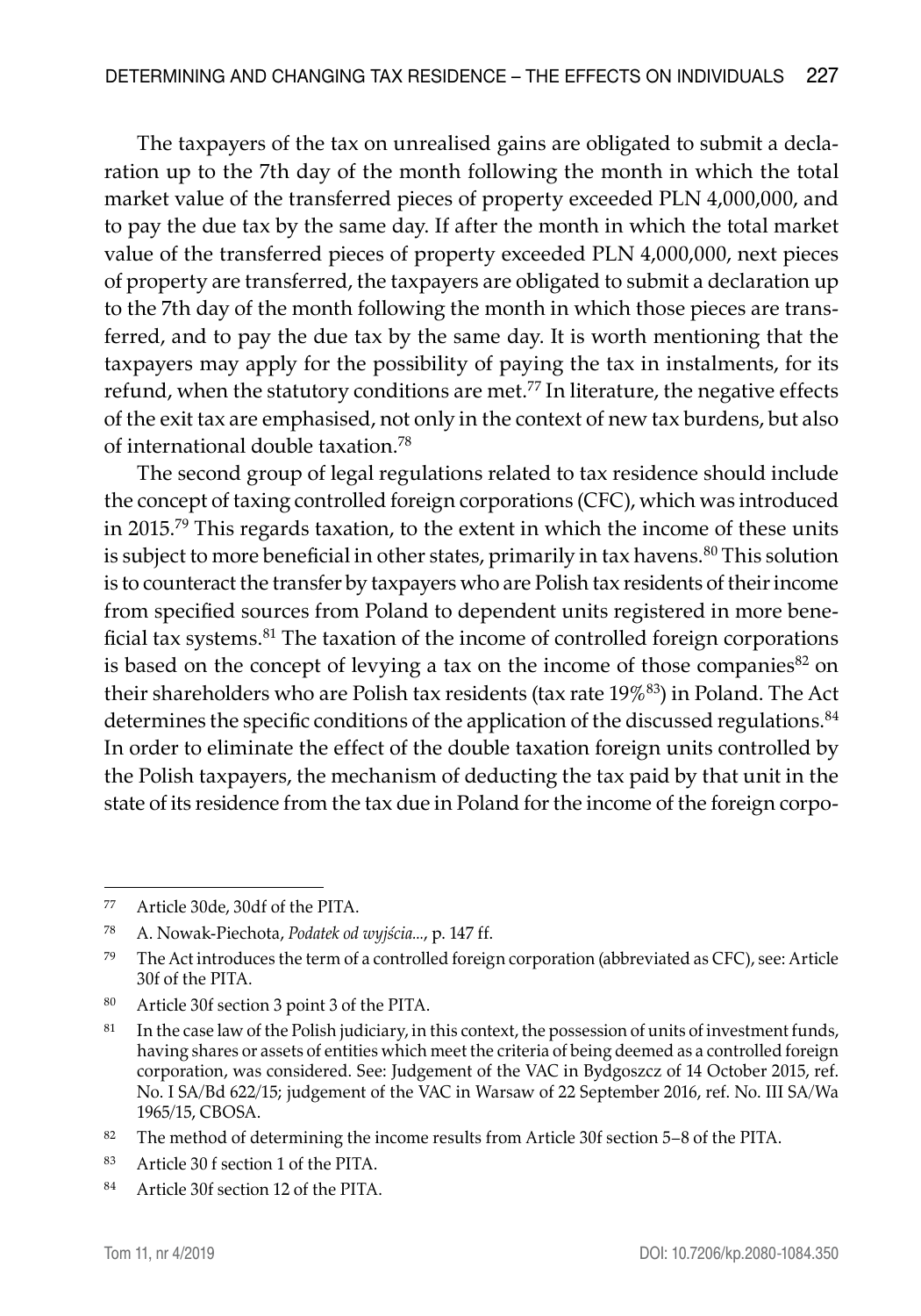The taxpayers of the tax on unrealised gains are obligated to submit a declaration up to the 7th day of the month following the month in which the total market value of the transferred pieces of property exceeded PLN 4,000,000, and to pay the due tax by the same day. If after the month in which the total market value of the transferred pieces of property exceeded PLN 4,000,000, next pieces of property are transferred, the taxpayers are obligated to submit a declaration up to the 7th day of the month following the month in which those pieces are transferred, and to pay the due tax by the same day. It is worth mentioning that the taxpayers may apply for the possibility of paying the tax in instalments, for its refund, when the statutory conditions are met.<sup>77</sup> In literature, the negative effects of the exit tax are emphasised, not only in the context of new tax burdens, but also of international double taxation.<sup>78</sup>

The second group of legal regulations related to tax residence should include the concept of taxing controlled foreign corporations (CFC), which was introduced in 2015.<sup>79</sup> This regards taxation, to the extent in which the income of these units is subject to more beneficial in other states, primarily in tax havens.<sup>80</sup> This solution is to counteract the transfer by taxpayers who are Polish tax residents of their income from specified sources from Poland to dependent units registered in more beneficial tax systems.<sup>81</sup> The taxation of the income of controlled foreign corporations is based on the concept of levying a tax on the income of those companies  $82$  on their shareholders who are Polish tax residents (tax rate 19%<sup>83</sup>) in Poland. The Act determines the specific conditions of the application of the discussed regulations.<sup>84</sup> In order to eliminate the effect of the double taxation foreign units controlled by the Polish taxpayers, the mechanism of deducting the tax paid by that unit in the state of its residence from the tax due in Poland for the income of the foreign corpo-

<sup>77</sup> Article 30de, 30df of the PITA.

<sup>78</sup> A. Nowak-Piechota, *Podatek od wyjścia...*, p. 147 ff.

<sup>&</sup>lt;sup>79</sup> The Act introduces the term of a controlled foreign corporation (abbreviated as CFC), see: Article 30f of the PITA.

<sup>80</sup> Article 30f section 3 point 3 of the PITA.

 $81$  In the case law of the Polish judiciary, in this context, the possession of units of investment funds, having shares or assets of entities which meet the criteria of being deemed as a controlled foreign corporation, was considered. See: Judgement of the VAC in Bydgoszcz of 14 October 2015, ref. No. I SA/Bd 622/15; judgement of the VAC in Warsaw of 22 September 2016, ref. No. III SA/Wa 1965/15, CBOSA.

<sup>82</sup> The method of determining the income results from Article 30f section 5–8 of the PITA.

<sup>83</sup> Article 30 f section 1 of the PITA.

<sup>84</sup> Article 30f section 12 of the PITA.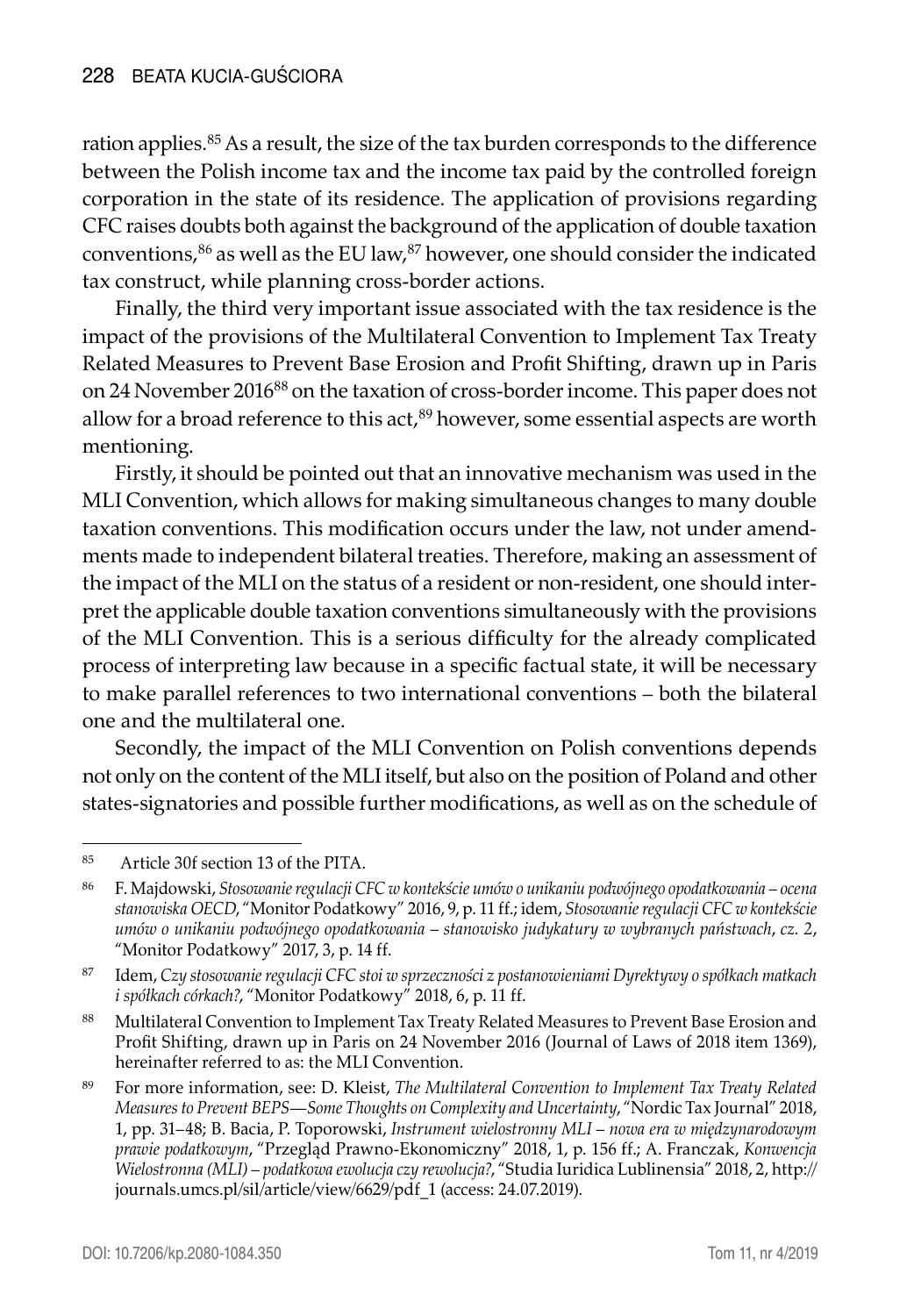ration applies.<sup>85</sup> As a result, the size of the tax burden corresponds to the difference between the Polish income tax and the income tax paid by the controlled foreign corporation in the state of its residence. The application of provisions regarding CFC raises doubts both against the background of the application of double taxation conventions, $86$  as well as the EU law, $87$  however, one should consider the indicated tax construct, while planning cross-border actions.

Finally, the third very important issue associated with the tax residence is the impact of the provisions of the Multilateral Convention to Implement Tax Treaty Related Measures to Prevent Base Erosion and Profit Shifting, drawn up in Paris on 24 November 201688 on the taxation of cross-border income. This paper does not allow for a broad reference to this act, $89$  however, some essential aspects are worth mentioning.

Firstly, it should be pointed out that an innovative mechanism was used in the MLI Convention, which allows for making simultaneous changes to many double taxation conventions. This modification occurs under the law, not under amendments made to independent bilateral treaties. Therefore, making an assessment of the impact of the MLI on the status of a resident or non-resident, one should interpret the applicable double taxation conventions simultaneously with the provisions of the MLI Convention. This is a serious difficulty for the already complicated process of interpreting law because in a specific factual state, it will be necessary to make parallel references to two international conventions – both the bilateral one and the multilateral one.

Secondly, the impact of the MLI Convention on Polish conventions depends not only on the content of the MLI itself, but also on the position of Poland and other states-signatories and possible further modifications, as well as on the schedule of

<sup>85</sup> Article 30f section 13 of the PITA.

<sup>86</sup> F. Majdowski, *Stosowanie regulacji CFC w kontekście umów o unikaniu podwójnego opodatkowania – ocena stanowiska OECD*, "Monitor Podatkowy" 2016, 9, p. 11 ff.; idem, *Stosowanie regulacji CFC w kontekście umów o unikaniu podwójnego opodatkowania – stanowisko judykatury w wybranych państwach*, *cz. 2*, "Monitor Podatkowy" 2017, 3, p. 14 ff.

<sup>87</sup> Idem, *Czy stosowanie regulacji CFC stoi w sprzeczności z postanowieniami Dyrektywy o spółkach matkach i spółkach córkach?*, "Monitor Podatkowy" 2018, 6, p. 11 ff.

<sup>88</sup> Multilateral Convention to Implement Tax Treaty Related Measures to Prevent Base Erosion and Profit Shifting, drawn up in Paris on 24 November 2016 (Journal of Laws of 2018 item 1369), hereinafter referred to as: the MLI Convention.

<sup>89</sup> For more information, see: D. Kleist, *The Multilateral Convention to Implement Tax Treaty Related Measures to Prevent BEPS—Some Thoughts on Complexity and Uncertainty*, "Nordic Tax Journal" 2018, 1, pp. 31–48; B. Bacia, P. Toporowski, *Instrument wielostronny MLI – nowa era w międzynarodowym prawie podatkowym*, "Przegląd Prawno-Ekonomiczny" 2018, 1, p. 156 ff.; A. Franczak, *Konwencja Wielostronna (MLI) – podatkowa ewolucja czy rewolucja?*, "Studia Iuridica Lublinensia" 2018, 2, http:// journals.umcs.pl/sil/article/view/6629/pdf\_1 (access: 24.07.2019).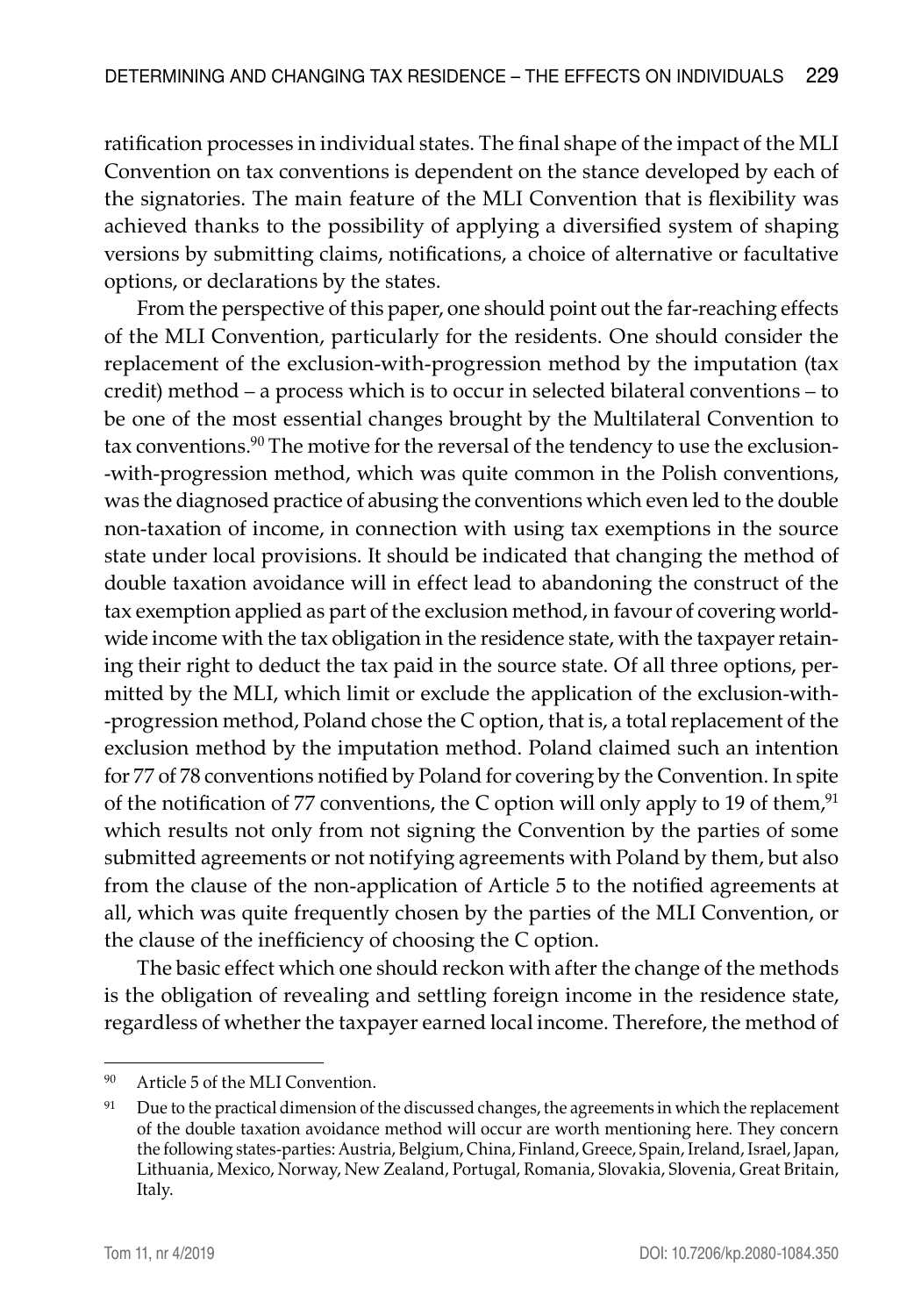ratification processes in individual states. The final shape of the impact of the MLI Convention on tax conventions is dependent on the stance developed by each of the signatories. The main feature of the MLI Convention that is flexibility was achieved thanks to the possibility of applying a diversified system of shaping versions by submitting claims, notifications, a choice of alternative or facultative options, or declarations by the states.

From the perspective of this paper, one should point out the far-reaching effects of the MLI Convention, particularly for the residents. One should consider the replacement of the exclusion-with-progression method by the imputation (tax credit) method – a process which is to occur in selected bilateral conventions – to be one of the most essential changes brought by the Multilateral Convention to tax conventions.<sup>90</sup> The motive for the reversal of the tendency to use the exclusion--with-progression method, which was quite common in the Polish conventions, was the diagnosed practice of abusing the conventions which even led to the double non-taxation of income, in connection with using tax exemptions in the source state under local provisions. It should be indicated that changing the method of double taxation avoidance will in effect lead to abandoning the construct of the tax exemption applied as part of the exclusion method, in favour of covering worldwide income with the tax obligation in the residence state, with the taxpayer retaining their right to deduct the tax paid in the source state. Of all three options, permitted by the MLI, which limit or exclude the application of the exclusion-with- -progression method, Poland chose the C option, that is, a total replacement of the exclusion method by the imputation method. Poland claimed such an intention for 77 of 78 conventions notified by Poland for covering by the Convention. In spite of the notification of 77 conventions, the C option will only apply to 19 of them, $91$ which results not only from not signing the Convention by the parties of some submitted agreements or not notifying agreements with Poland by them, but also from the clause of the non-application of Article 5 to the notified agreements at all, which was quite frequently chosen by the parties of the MLI Convention, or the clause of the inefficiency of choosing the C option.

The basic effect which one should reckon with after the change of the methods is the obligation of revealing and settling foreign income in the residence state, regardless of whether the taxpayer earned local income. Therefore, the method of

<sup>90</sup> Article 5 of the MLI Convention.

<sup>&</sup>lt;sup>91</sup> Due to the practical dimension of the discussed changes, the agreements in which the replacement of the double taxation avoidance method will occur are worth mentioning here. They concern the following states-parties: Austria, Belgium, China, Finland, Greece, Spain, Ireland, Israel, Japan, Lithuania, Mexico, Norway, New Zealand, Portugal, Romania, Slovakia, Slovenia, Great Britain, Italy.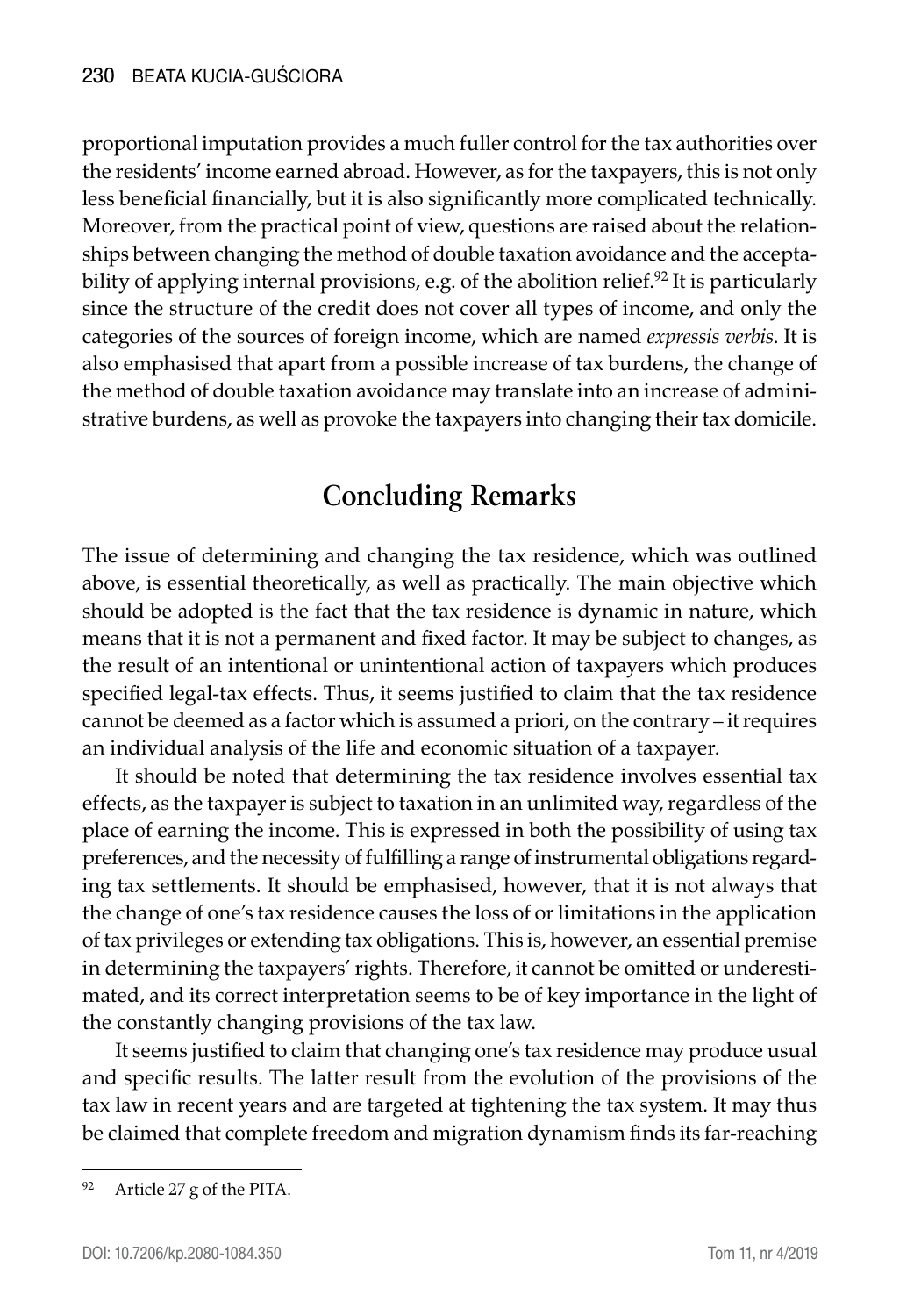proportional imputation provides a much fuller control for the tax authorities over the residents' income earned abroad. However, as for the taxpayers, this is not only less beneficial financially, but it is also significantly more complicated technically. Moreover, from the practical point of view, questions are raised about the relationships between changing the method of double taxation avoidance and the acceptability of applying internal provisions, e.g. of the abolition relief.<sup>92</sup> It is particularly since the structure of the credit does not cover all types of income, and only the categories of the sources of foreign income, which are named *expressis verbis*. It is also emphasised that apart from a possible increase of tax burdens, the change of the method of double taxation avoidance may translate into an increase of administrative burdens, as well as provoke the taxpayers into changing their tax domicile.

# **Concluding Remarks**

The issue of determining and changing the tax residence, which was outlined above, is essential theoretically, as well as practically. The main objective which should be adopted is the fact that the tax residence is dynamic in nature, which means that it is not a permanent and fixed factor. It may be subject to changes, as the result of an intentional or unintentional action of taxpayers which produces specified legal-tax effects. Thus, it seems justified to claim that the tax residence cannot be deemed as a factor which is assumed a priori, on the contrary – it requires an individual analysis of the life and economic situation of a taxpayer.

It should be noted that determining the tax residence involves essential tax effects, as the taxpayer is subject to taxation in an unlimited way, regardless of the place of earning the income. This is expressed in both the possibility of using tax preferences, and the necessity of fulfilling a range of instrumental obligations regarding tax settlements. It should be emphasised, however, that it is not always that the change of one's tax residence causes the loss of or limitations in the application of tax privileges or extending tax obligations. This is, however, an essential premise in determining the taxpayers' rights. Therefore, it cannot be omitted or underestimated, and its correct interpretation seems to be of key importance in the light of the constantly changing provisions of the tax law.

It seems justified to claim that changing one's tax residence may produce usual and specific results. The latter result from the evolution of the provisions of the tax law in recent years and are targeted at tightening the tax system. It may thus be claimed that complete freedom and migration dynamism finds its far-reaching

<sup>92</sup> Article 27 g of the PITA.